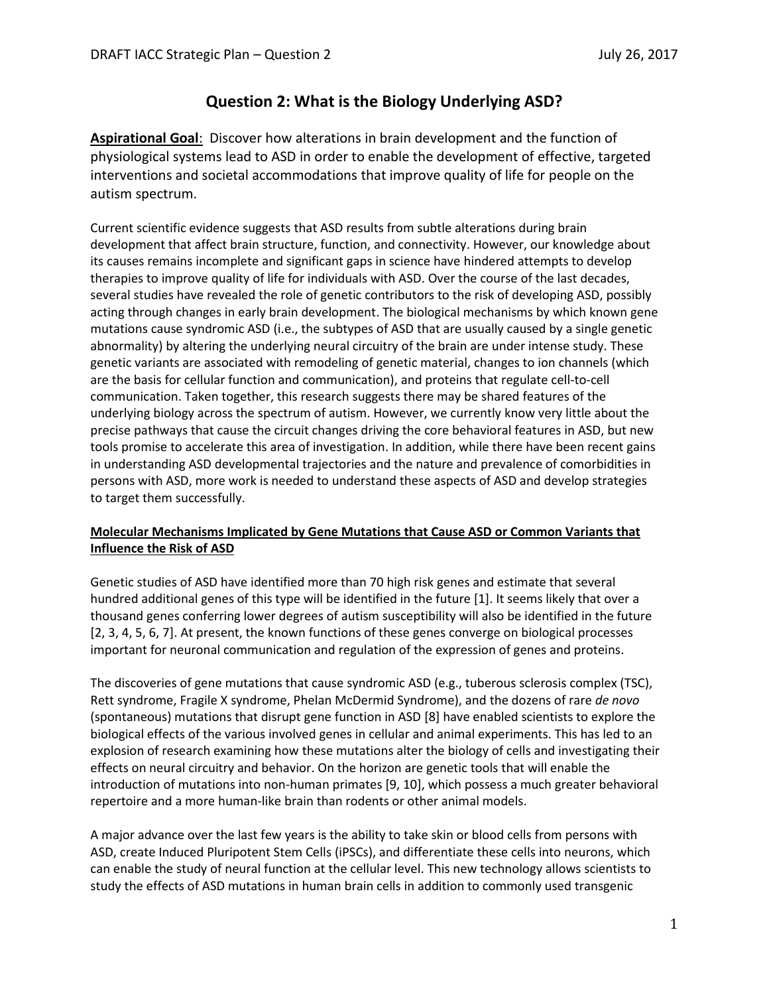# **Question 2: What is the Biology Underlying ASD?**

**Aspirational Goal**: Discover how alterations in brain development and the function of physiological systems lead to ASD in order to enable the development of effective, targeted interventions and societal accommodations that improve quality of life for people on the autism spectrum.

Current scientific evidence suggests that ASD results from subtle alterations during brain development that affect brain structure, function, and connectivity. However, our knowledge about its causes remains incomplete and significant gaps in science have hindered attempts to develop therapies to improve quality of life for individuals with ASD. Over the course of the last decades, several studies have revealed the role of genetic contributors to the risk of developing ASD, possibly acting through changes in early brain development. The biological mechanisms by which known gene mutations cause syndromic ASD (i.e., the subtypes of ASD that are usually caused by a single genetic abnormality) by altering the underlying neural circuitry of the brain are under intense study. These genetic variants are associated with remodeling of genetic material, changes to ion channels (which are the basis for cellular function and communication), and proteins that regulate cell-to-cell communication. Taken together, this research suggests there may be shared features of the underlying biology across the spectrum of autism. However, we currently know very little about the precise pathways that cause the circuit changes driving the core behavioral features in ASD, but new tools promise to accelerate this area of investigation. In addition, while there have been recent gains in understanding ASD developmental trajectories and the nature and prevalence of comorbidities in persons with ASD, more work is needed to understand these aspects of ASD and develop strategies to target them successfully.

# **Molecular Mechanisms Implicated by Gene Mutations that Cause ASD or Common Variants that Influence the Risk of ASD**

Genetic studies of ASD have identified more than 70 high risk genes and estimate that several hundred additional genes of this type will be identified in the future [1]. It seems likely that over a thousand genes conferring lower degrees of autism susceptibility will also be identified in the future [2, 3, 4, 5, 6, 7]. At present, the known functions of these genes converge on biological processes important for neuronal communication and regulation of the expression of genes and proteins.

The discoveries of gene mutations that cause syndromic ASD (e.g., tuberous sclerosis complex (TSC), Rett syndrome, Fragile X syndrome, Phelan McDermid Syndrome), and the dozens of rare *de novo* (spontaneous) mutations that disrupt gene function in ASD [8] have enabled scientists to explore the biological effects of the various involved genes in cellular and animal experiments. This has led to an explosion of research examining how these mutations alter the biology of cells and investigating their effects on neural circuitry and behavior. On the horizon are genetic tools that will enable the introduction of mutations into non-human primates [9, 10], which possess a much greater behavioral repertoire and a more human-like brain than rodents or other animal models.

A major advance over the last few years is the ability to take skin or blood cells from persons with ASD, create Induced Pluripotent Stem Cells (iPSCs), and differentiate these cells into neurons, which can enable the study of neural function at the cellular level. This new technology allows scientists to study the effects of ASD mutations in human brain cells in addition to commonly used transgenic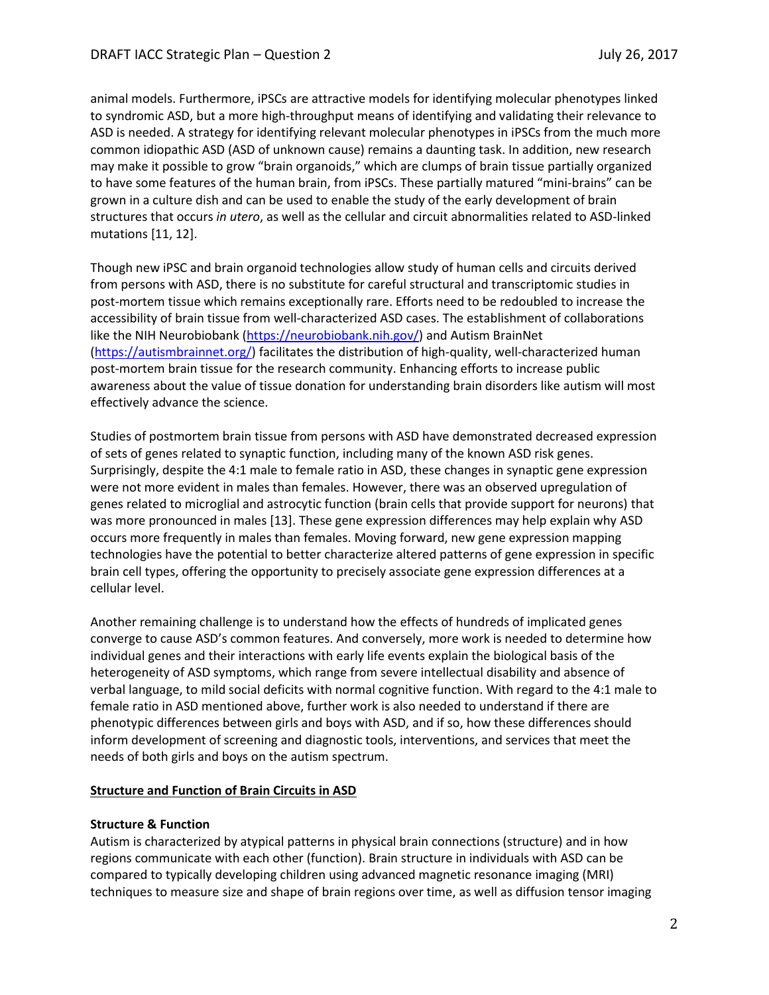animal models. Furthermore, iPSCs are attractive models for identifying molecular phenotypes linked to syndromic ASD, but a more high-throughput means of identifying and validating their relevance to ASD is needed. A strategy for identifying relevant molecular phenotypes in iPSCs from the much more common idiopathic ASD (ASD of unknown cause) remains a daunting task. In addition, new research may make it possible to grow "brain organoids," which are clumps of brain tissue partially organized to have some features of the human brain, from iPSCs. These partially matured "mini-brains" can be grown in a culture dish and can be used to enable the study of the early development of brain structures that occurs *in utero*, as well as the cellular and circuit abnormalities related to ASD-linked mutations [11, 12].

Though new iPSC and brain organoid technologies allow study of human cells and circuits derived from persons with ASD, there is no substitute for careful structural and transcriptomic studies in post-mortem tissue which remains exceptionally rare. Efforts need to be redoubled to increase the accessibility of brain tissue from well-characterized ASD cases. The establishment of collaborations like the NIH Neurobiobank [\(https://neurobiobank.nih.gov/\)](https://neurobiobank.nih.gov/) and Autism BrainNet [\(https://autismbrainnet.org/\)](https://autismbrainnet.org/) facilitates the distribution of high-quality, well-characterized human post-mortem brain tissue for the research community. Enhancing efforts to increase public awareness about the value of tissue donation for understanding brain disorders like autism will most effectively advance the science.

Studies of postmortem brain tissue from persons with ASD have demonstrated decreased expression of sets of genes related to synaptic function, including many of the known ASD risk genes. Surprisingly, despite the 4:1 male to female ratio in ASD, these changes in synaptic gene expression were not more evident in males than females. However, there was an observed upregulation of genes related to microglial and astrocytic function (brain cells that provide support for neurons) that was more pronounced in males [13]. These gene expression differences may help explain why ASD occurs more frequently in males than females. Moving forward, new gene expression mapping technologies have the potential to better characterize altered patterns of gene expression in specific brain cell types, offering the opportunity to precisely associate gene expression differences at a cellular level.

Another remaining challenge is to understand how the effects of hundreds of implicated genes converge to cause ASD's common features. And conversely, more work is needed to determine how individual genes and their interactions with early life events explain the biological basis of the heterogeneity of ASD symptoms, which range from severe intellectual disability and absence of verbal language, to mild social deficits with normal cognitive function. With regard to the 4:1 male to female ratio in ASD mentioned above, further work is also needed to understand if there are phenotypic differences between girls and boys with ASD, and if so, how these differences should inform development of screening and diagnostic tools, interventions, and services that meet the needs of both girls and boys on the autism spectrum.

### **Structure and Function of Brain Circuits in ASD**

### **Structure & Function**

Autism is characterized by atypical patterns in physical brain connections (structure) and in how regions communicate with each other (function). Brain structure in individuals with ASD can be compared to typically developing children using advanced magnetic resonance imaging (MRI) techniques to measure size and shape of brain regions over time, as well as diffusion tensor imaging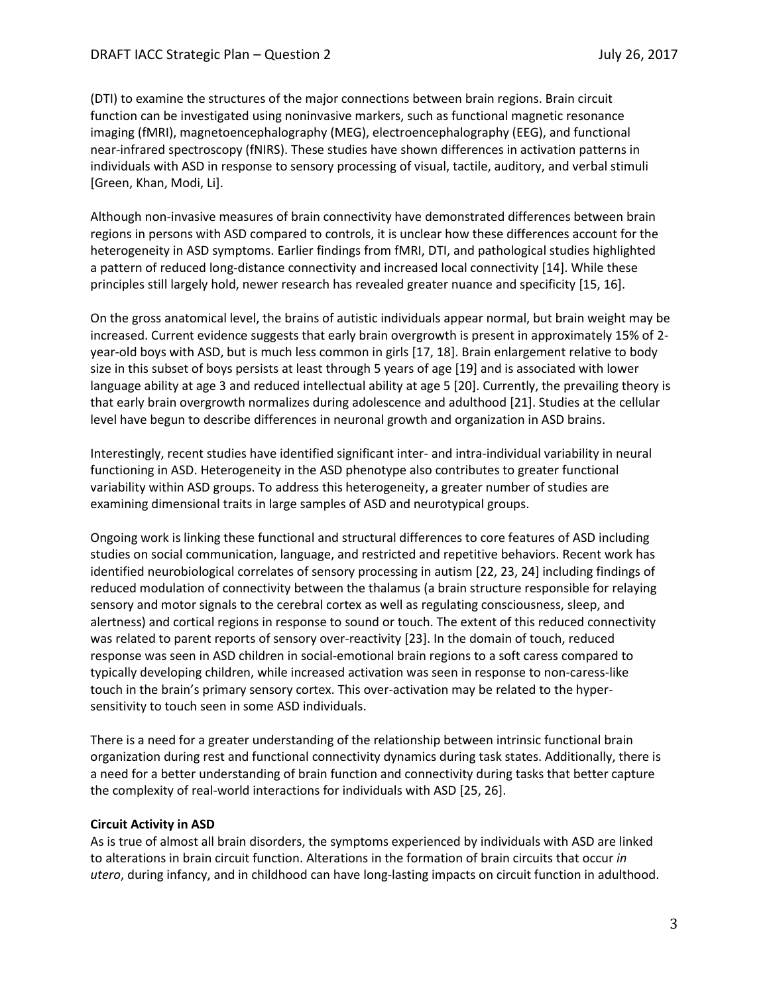(DTI) to examine the structures of the major connections between brain regions. Brain circuit function can be investigated using noninvasive markers, such as functional magnetic resonance imaging (fMRI), magnetoencephalography (MEG), electroencephalography (EEG), and functional near-infrared spectroscopy (fNIRS). These studies have shown differences in activation patterns in individuals with ASD in response to sensory processing of visual, tactile, auditory, and verbal stimuli [Green, Khan, Modi, Li].

Although non-invasive measures of brain connectivity have demonstrated differences between brain regions in persons with ASD compared to controls, it is unclear how these differences account for the heterogeneity in ASD symptoms. Earlier findings from fMRI, DTI, and pathological studies highlighted a pattern of reduced long-distance connectivity and increased local connectivity [14]. While these principles still largely hold, newer research has revealed greater nuance and specificity [15, 16].

On the gross anatomical level, the brains of autistic individuals appear normal, but brain weight may be increased. Current evidence suggests that early brain overgrowth is present in approximately 15% of 2 year-old boys with ASD, but is much less common in girls [17, 18]. Brain enlargement relative to body size in this subset of boys persists at least through 5 years of age [19] and is associated with lower language ability at age 3 and reduced intellectual ability at age 5 [20]. Currently, the prevailing theory is that early brain overgrowth normalizes during adolescence and adulthood [21]. Studies at the cellular level have begun to describe differences in neuronal growth and organization in ASD brains.

Interestingly, recent studies have identified significant inter- and intra-individual variability in neural functioning in ASD. Heterogeneity in the ASD phenotype also contributes to greater functional variability within ASD groups. To address this heterogeneity, a greater number of studies are examining dimensional traits in large samples of ASD and neurotypical groups.

Ongoing work is linking these functional and structural differences to core features of ASD including studies on social communication, language, and restricted and repetitive behaviors. Recent work has identified neurobiological correlates of sensory processing in autism [22, 23, 24] including findings of reduced modulation of connectivity between the thalamus (a brain structure responsible for relaying sensory and motor signals to the cerebral cortex as well as regulating consciousness, sleep, and alertness) and cortical regions in response to sound or touch. The extent of this reduced connectivity was related to parent reports of sensory over-reactivity [23]. In the domain of touch, reduced response was seen in ASD children in social-emotional brain regions to a soft caress compared to typically developing children, while increased activation was seen in response to non-caress-like touch in the brain's primary sensory cortex. This over-activation may be related to the hypersensitivity to touch seen in some ASD individuals.

There is a need for a greater understanding of the relationship between intrinsic functional brain organization during rest and functional connectivity dynamics during task states. Additionally, there is a need for a better understanding of brain function and connectivity during tasks that better capture the complexity of real-world interactions for individuals with ASD [25, 26].

### **Circuit Activity in ASD**

As is true of almost all brain disorders, the symptoms experienced by individuals with ASD are linked to alterations in brain circuit function. Alterations in the formation of brain circuits that occur *in utero*, during infancy, and in childhood can have long-lasting impacts on circuit function in adulthood.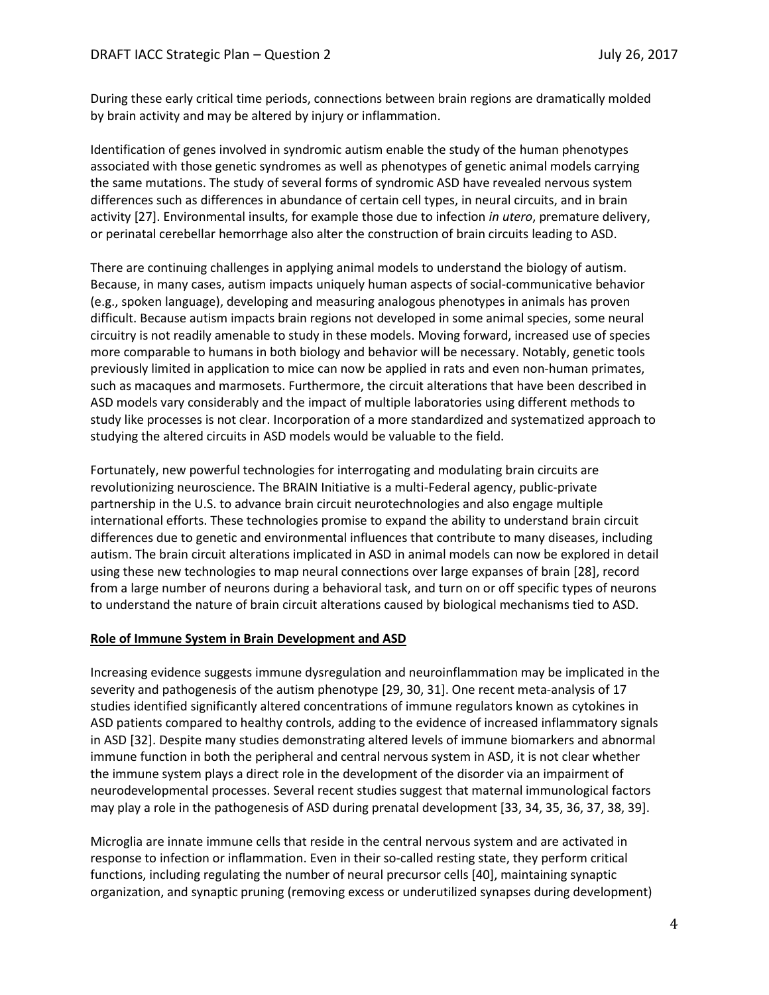During these early critical time periods, connections between brain regions are dramatically molded by brain activity and may be altered by injury or inflammation.

Identification of genes involved in syndromic autism enable the study of the human phenotypes associated with those genetic syndromes as well as phenotypes of genetic animal models carrying the same mutations. The study of several forms of syndromic ASD have revealed nervous system differences such as differences in abundance of certain cell types, in neural circuits, and in brain activity [27]. Environmental insults, for example those due to infection *in utero*, premature delivery, or perinatal cerebellar hemorrhage also alter the construction of brain circuits leading to ASD.

There are continuing challenges in applying animal models to understand the biology of autism. Because, in many cases, autism impacts uniquely human aspects of social-communicative behavior (e.g., spoken language), developing and measuring analogous phenotypes in animals has proven difficult. Because autism impacts brain regions not developed in some animal species, some neural circuitry is not readily amenable to study in these models. Moving forward, increased use of species more comparable to humans in both biology and behavior will be necessary. Notably, genetic tools previously limited in application to mice can now be applied in rats and even non-human primates, such as macaques and marmosets. Furthermore, the circuit alterations that have been described in ASD models vary considerably and the impact of multiple laboratories using different methods to study like processes is not clear. Incorporation of a more standardized and systematized approach to studying the altered circuits in ASD models would be valuable to the field.

Fortunately, new powerful technologies for interrogating and modulating brain circuits are revolutionizing neuroscience. The BRAIN Initiative is a multi-Federal agency, public-private partnership in the U.S. to advance brain circuit neurotechnologies and also engage multiple international efforts. These technologies promise to expand the ability to understand brain circuit differences due to genetic and environmental influences that contribute to many diseases, including autism. The brain circuit alterations implicated in ASD in animal models can now be explored in detail using these new technologies to map neural connections over large expanses of brain [28], record from a large number of neurons during a behavioral task, and turn on or off specific types of neurons to understand the nature of brain circuit alterations caused by biological mechanisms tied to ASD.

### **Role of Immune System in Brain Development and ASD**

Increasing evidence suggests immune dysregulation and neuroinflammation may be implicated in the severity and pathogenesis of the autism phenotype [29, 30, 31]. One recent meta-analysis of 17 studies identified significantly altered concentrations of immune regulators known as cytokines in ASD patients compared to healthy controls, adding to the evidence of increased inflammatory signals in ASD [32]. Despite many studies demonstrating altered levels of immune biomarkers and abnormal immune function in both the peripheral and central nervous system in ASD, it is not clear whether the immune system plays a direct role in the development of the disorder via an impairment of neurodevelopmental processes. Several recent studies suggest that maternal immunological factors may play a role in the pathogenesis of ASD during prenatal development [33, 34, 35, 36, 37, 38, 39].

Microglia are innate immune cells that reside in the central nervous system and are activated in response to infection or inflammation. Even in their so-called resting state, they perform critical functions, including regulating the number of neural precursor cells [40], maintaining synaptic organization, and synaptic pruning (removing excess or underutilized synapses during development)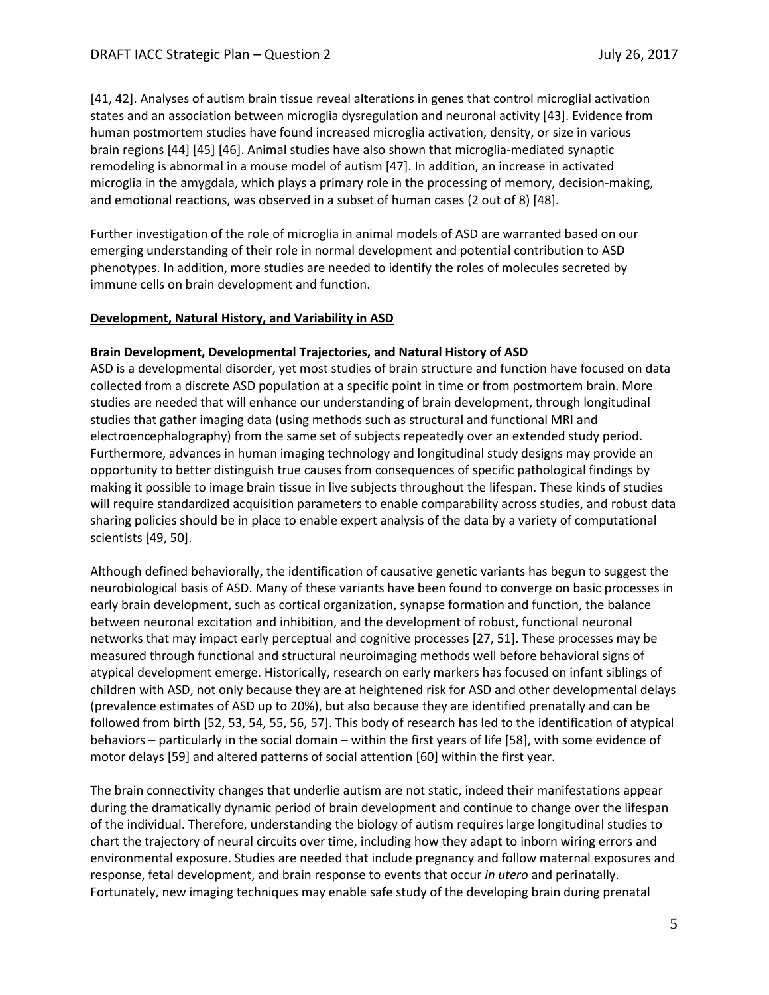[41, 42]. Analyses of autism brain tissue reveal alterations in genes that control microglial activation states and an association between microglia dysregulation and neuronal activity [43]. Evidence from human postmortem studies have found increased microglia activation, density, or size in various brain regions [44] [45] [46]. Animal studies have also shown that microglia-mediated synaptic remodeling is abnormal in a mouse model of autism [47]. In addition, an increase in activated microglia in the amygdala, which plays a primary role in the processing of memory, decision-making, and emotional reactions, was observed in a subset of human cases (2 out of 8) [48].

Further investigation of the role of microglia in animal models of ASD are warranted based on our emerging understanding of their role in normal development and potential contribution to ASD phenotypes. In addition, more studies are needed to identify the roles of molecules secreted by immune cells on brain development and function.

### **Development, Natural History, and Variability in ASD**

### **Brain Development, Developmental Trajectories, and Natural History of ASD**

ASD is a developmental disorder, yet most studies of brain structure and function have focused on data collected from a discrete ASD population at a specific point in time or from postmortem brain. More studies are needed that will enhance our understanding of brain development, through longitudinal studies that gather imaging data (using methods such as structural and functional MRI and electroencephalography) from the same set of subjects repeatedly over an extended study period. Furthermore, advances in human imaging technology and longitudinal study designs may provide an opportunity to better distinguish true causes from consequences of specific pathological findings by making it possible to image brain tissue in live subjects throughout the lifespan. These kinds of studies will require standardized acquisition parameters to enable comparability across studies, and robust data sharing policies should be in place to enable expert analysis of the data by a variety of computational scientists [49, 50].

Although defined behaviorally, the identification of causative genetic variants has begun to suggest the neurobiological basis of ASD. Many of these variants have been found to converge on basic processes in early brain development, such as cortical organization, synapse formation and function, the balance between neuronal excitation and inhibition, and the development of robust, functional neuronal networks that may impact early perceptual and cognitive processes [27, 51]. These processes may be measured through functional and structural neuroimaging methods well before behavioral signs of atypical development emerge. Historically, research on early markers has focused on infant siblings of children with ASD, not only because they are at heightened risk for ASD and other developmental delays (prevalence estimates of ASD up to 20%), but also because they are identified prenatally and can be followed from birth [52, 53, 54, 55, 56, 57]. This body of research has led to the identification of atypical behaviors – particularly in the social domain – within the first years of life [58], with some evidence of motor delays [59] and altered patterns of social attention [60] within the first year.

The brain connectivity changes that underlie autism are not static, indeed their manifestations appear during the dramatically dynamic period of brain development and continue to change over the lifespan of the individual. Therefore, understanding the biology of autism requires large longitudinal studies to chart the trajectory of neural circuits over time, including how they adapt to inborn wiring errors and environmental exposure. Studies are needed that include pregnancy and follow maternal exposures and response, fetal development, and brain response to events that occur *in utero* and perinatally. Fortunately, new imaging techniques may enable safe study of the developing brain during prenatal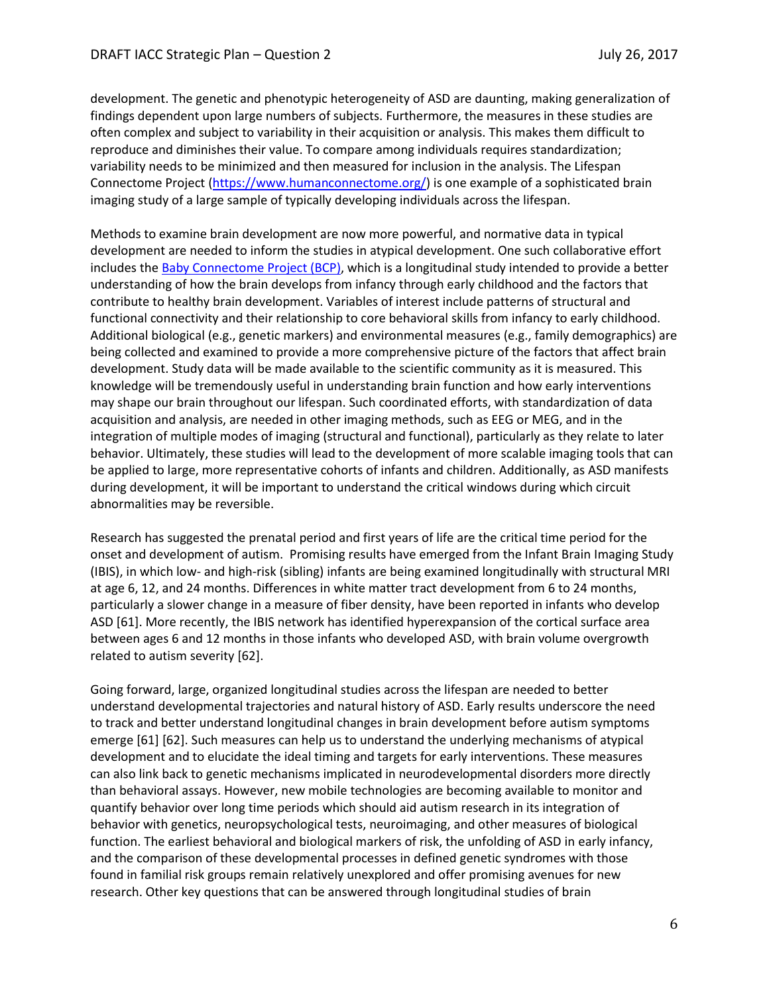development. The genetic and phenotypic heterogeneity of ASD are daunting, making generalization of findings dependent upon large numbers of subjects. Furthermore, the measures in these studies are often complex and subject to variability in their acquisition or analysis. This makes them difficult to reproduce and diminishes their value. To compare among individuals requires standardization; variability needs to be minimized and then measured for inclusion in the analysis. The Lifespan Connectome Project [\(https://www.humanconnectome.org/\)](https://www.humanconnectome.org/) is one example of a sophisticated brain imaging study of a large sample of typically developing individuals across the lifespan.

Methods to examine brain development are now more powerful, and normative data in typical development are needed to inform the studies in atypical development. One such collaborative effort includes th[e Baby Connectome Project \(BCP\),](https://fnih.org/what-we-do/current-research-programs/baby-connectome) which is a longitudinal study intended to provide a better understanding of how the brain develops from infancy through early childhood and the factors that contribute to healthy brain development. Variables of interest include patterns of structural and functional connectivity and their relationship to core behavioral skills from infancy to early childhood. Additional biological (e.g., genetic markers) and environmental measures (e.g., family demographics) are being collected and examined to provide a more comprehensive picture of the factors that affect brain development. Study data will be made available to the scientific community as it is measured. This knowledge will be tremendously useful in understanding brain function and how early interventions may shape our brain throughout our lifespan. Such coordinated efforts, with standardization of data acquisition and analysis, are needed in other imaging methods, such as EEG or MEG, and in the integration of multiple modes of imaging (structural and functional), particularly as they relate to later behavior. Ultimately, these studies will lead to the development of more scalable imaging tools that can be applied to large, more representative cohorts of infants and children. Additionally, as ASD manifests during development, it will be important to understand the critical windows during which circuit abnormalities may be reversible.

Research has suggested the prenatal period and first years of life are the critical time period for the onset and development of autism. Promising results have emerged from the Infant Brain Imaging Study (IBIS), in which low- and high-risk (sibling) infants are being examined longitudinally with structural MRI at age 6, 12, and 24 months. Differences in white matter tract development from 6 to 24 months, particularly a slower change in a measure of fiber density, have been reported in infants who develop ASD [61]. More recently, the IBIS network has identified hyperexpansion of the cortical surface area between ages 6 and 12 months in those infants who developed ASD, with brain volume overgrowth related to autism severity [62].

Going forward, large, organized longitudinal studies across the lifespan are needed to better understand developmental trajectories and natural history of ASD. Early results underscore the need to track and better understand longitudinal changes in brain development before autism symptoms emerge [61] [62]. Such measures can help us to understand the underlying mechanisms of atypical development and to elucidate the ideal timing and targets for early interventions. These measures can also link back to genetic mechanisms implicated in neurodevelopmental disorders more directly than behavioral assays. However, new mobile technologies are becoming available to monitor and quantify behavior over long time periods which should aid autism research in its integration of behavior with genetics, neuropsychological tests, neuroimaging, and other measures of biological function. The earliest behavioral and biological markers of risk, the unfolding of ASD in early infancy, and the comparison of these developmental processes in defined genetic syndromes with those found in familial risk groups remain relatively unexplored and offer promising avenues for new research. Other key questions that can be answered through longitudinal studies of brain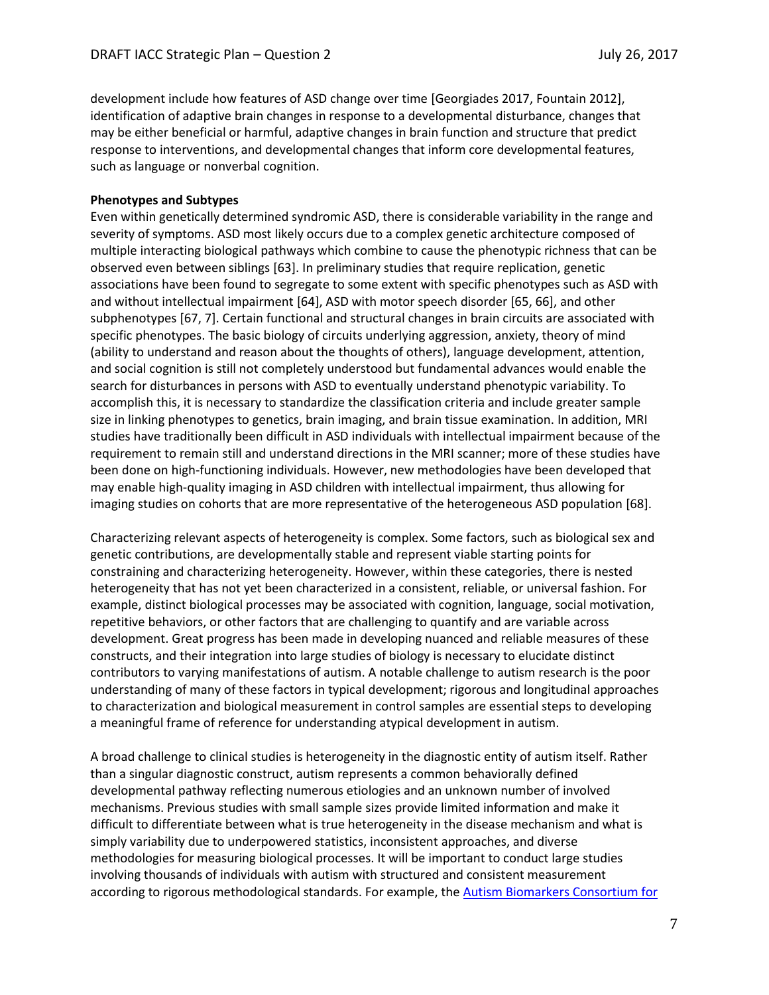development include how features of ASD change over time [Georgiades 2017, Fountain 2012], identification of adaptive brain changes in response to a developmental disturbance, changes that may be either beneficial or harmful, adaptive changes in brain function and structure that predict response to interventions, and developmental changes that inform core developmental features, such as language or nonverbal cognition.

### **Phenotypes and Subtypes**

Even within genetically determined syndromic ASD, there is considerable variability in the range and severity of symptoms. ASD most likely occurs due to a complex genetic architecture composed of multiple interacting biological pathways which combine to cause the phenotypic richness that can be observed even between siblings [63]. In preliminary studies that require replication, genetic associations have been found to segregate to some extent with specific phenotypes such as ASD with and without intellectual impairment [64], ASD with motor speech disorder [65, 66], and other subphenotypes [67, 7]. Certain functional and structural changes in brain circuits are associated with specific phenotypes. The basic biology of circuits underlying aggression, anxiety, theory of mind (ability to understand and reason about the thoughts of others), language development, attention, and social cognition is still not completely understood but fundamental advances would enable the search for disturbances in persons with ASD to eventually understand phenotypic variability. To accomplish this, it is necessary to standardize the classification criteria and include greater sample size in linking phenotypes to genetics, brain imaging, and brain tissue examination. In addition, MRI studies have traditionally been difficult in ASD individuals with intellectual impairment because of the requirement to remain still and understand directions in the MRI scanner; more of these studies have been done on high-functioning individuals. However, new methodologies have been developed that may enable high-quality imaging in ASD children with intellectual impairment, thus allowing for imaging studies on cohorts that are more representative of the heterogeneous ASD population [68].

Characterizing relevant aspects of heterogeneity is complex. Some factors, such as biological sex and genetic contributions, are developmentally stable and represent viable starting points for constraining and characterizing heterogeneity. However, within these categories, there is nested heterogeneity that has not yet been characterized in a consistent, reliable, or universal fashion. For example, distinct biological processes may be associated with cognition, language, social motivation, repetitive behaviors, or other factors that are challenging to quantify and are variable across development. Great progress has been made in developing nuanced and reliable measures of these constructs, and their integration into large studies of biology is necessary to elucidate distinct contributors to varying manifestations of autism. A notable challenge to autism research is the poor understanding of many of these factors in typical development; rigorous and longitudinal approaches to characterization and biological measurement in control samples are essential steps to developing a meaningful frame of reference for understanding atypical development in autism.

A broad challenge to clinical studies is heterogeneity in the diagnostic entity of autism itself. Rather than a singular diagnostic construct, autism represents a common behaviorally defined developmental pathway reflecting numerous etiologies and an unknown number of involved mechanisms. Previous studies with small sample sizes provide limited information and make it difficult to differentiate between what is true heterogeneity in the disease mechanism and what is simply variability due to underpowered statistics, inconsistent approaches, and diverse methodologies for measuring biological processes. It will be important to conduct large studies involving thousands of individuals with autism with structured and consistent measurement according to rigorous methodological standards. For example, th[e Autism Biomarkers Consortium for](https://fnih.org/what-we-do/biomarkers-consortium/programs/autism-biomarkers)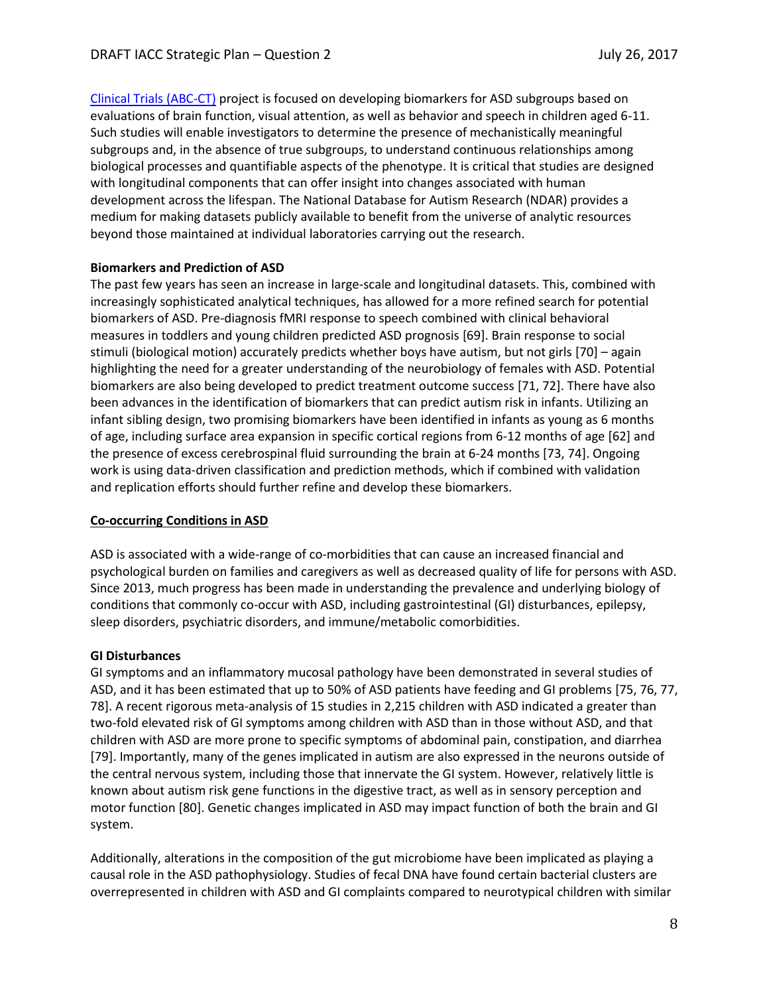[Clinical Trials \(ABC-CT\)](https://fnih.org/what-we-do/biomarkers-consortium/programs/autism-biomarkers) project is focused on developing biomarkers for ASD subgroups based on evaluations of brain function, visual attention, as well as behavior and speech in children aged 6-11. Such studies will enable investigators to determine the presence of mechanistically meaningful subgroups and, in the absence of true subgroups, to understand continuous relationships among biological processes and quantifiable aspects of the phenotype. It is critical that studies are designed with longitudinal components that can offer insight into changes associated with human development across the lifespan. The National Database for Autism Research (NDAR) provides a medium for making datasets publicly available to benefit from the universe of analytic resources beyond those maintained at individual laboratories carrying out the research.

### **Biomarkers and Prediction of ASD**

The past few years has seen an increase in large-scale and longitudinal datasets. This, combined with increasingly sophisticated analytical techniques, has allowed for a more refined search for potential biomarkers of ASD. Pre-diagnosis fMRI response to speech combined with clinical behavioral measures in toddlers and young children predicted ASD prognosis [69]. Brain response to social stimuli (biological motion) accurately predicts whether boys have autism, but not girls [70] – again highlighting the need for a greater understanding of the neurobiology of females with ASD. Potential biomarkers are also being developed to predict treatment outcome success [71, 72]. There have also been advances in the identification of biomarkers that can predict autism risk in infants. Utilizing an infant sibling design, two promising biomarkers have been identified in infants as young as 6 months of age, including surface area expansion in specific cortical regions from 6-12 months of age [62] and the presence of excess cerebrospinal fluid surrounding the brain at 6-24 months [73, 74]. Ongoing work is using data-driven classification and prediction methods, which if combined with validation and replication efforts should further refine and develop these biomarkers.

### **Co-occurring Conditions in ASD**

ASD is associated with a wide-range of co-morbidities that can cause an increased financial and psychological burden on families and caregivers as well as decreased quality of life for persons with ASD. Since 2013, much progress has been made in understanding the prevalence and underlying biology of conditions that commonly co-occur with ASD, including gastrointestinal (GI) disturbances, epilepsy, sleep disorders, psychiatric disorders, and immune/metabolic comorbidities.

### **GI Disturbances**

GI symptoms and an inflammatory mucosal pathology have been demonstrated in several studies of ASD, and it has been estimated that up to 50% of ASD patients have feeding and GI problems [75, 76, 77, 78]. A recent rigorous meta-analysis of 15 studies in 2,215 children with ASD indicated a greater than two-fold elevated risk of GI symptoms among children with ASD than in those without ASD, and that children with ASD are more prone to specific symptoms of abdominal pain, constipation, and diarrhea [79]. Importantly, many of the genes implicated in autism are also expressed in the neurons outside of the central nervous system, including those that innervate the GI system. However, relatively little is known about autism risk gene functions in the digestive tract, as well as in sensory perception and motor function [80]. Genetic changes implicated in ASD may impact function of both the brain and GI system.

Additionally, alterations in the composition of the gut microbiome have been implicated as playing a causal role in the ASD pathophysiology. Studies of fecal DNA have found certain bacterial clusters are overrepresented in children with ASD and GI complaints compared to neurotypical children with similar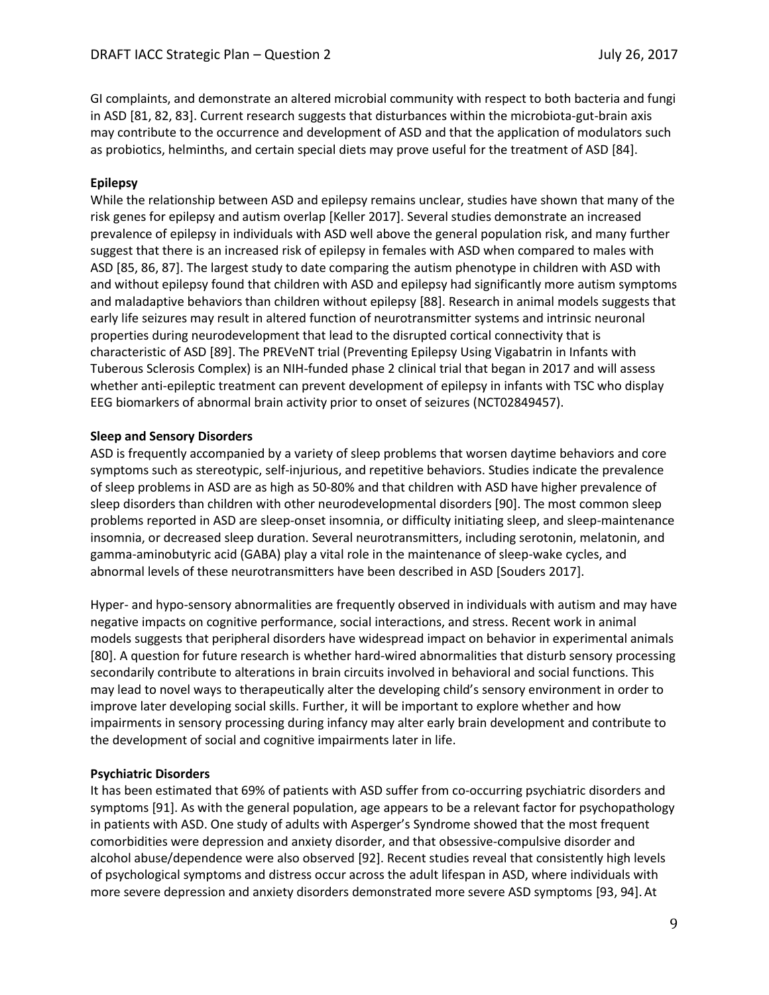GI complaints, and demonstrate an altered microbial community with respect to both bacteria and fungi in ASD [81, 82, 83]. Current research suggests that disturbances within the microbiota-gut-brain axis may contribute to the occurrence and development of ASD and that the application of modulators such as probiotics, helminths, and certain special diets may prove useful for the treatment of ASD [84].

### **Epilepsy**

While the relationship between ASD and epilepsy remains unclear, studies have shown that many of the risk genes for epilepsy and autism overlap [Keller 2017]. Several studies demonstrate an increased prevalence of epilepsy in individuals with ASD well above the general population risk, and many further suggest that there is an increased risk of epilepsy in females with ASD when compared to males with ASD [85, 86, 87]. The largest study to date comparing the autism phenotype in children with ASD with and without epilepsy found that children with ASD and epilepsy had significantly more autism symptoms and maladaptive behaviors than children without epilepsy [88]. Research in animal models suggests that early life seizures may result in altered function of neurotransmitter systems and intrinsic neuronal properties during neurodevelopment that lead to the disrupted cortical connectivity that is characteristic of ASD [89]. The PREVeNT trial (Preventing Epilepsy Using Vigabatrin in Infants with Tuberous Sclerosis Complex) is an NIH-funded phase 2 clinical trial that began in 2017 and will assess whether anti-epileptic treatment can prevent development of epilepsy in infants with TSC who display EEG biomarkers of abnormal brain activity prior to onset of seizures (NCT02849457).

### **Sleep and Sensory Disorders**

ASD is frequently accompanied by a variety of sleep problems that worsen daytime behaviors and core symptoms such as stereotypic, self-injurious, and repetitive behaviors. Studies indicate the prevalence of sleep problems in ASD are as high as 50-80% and that children with ASD have higher prevalence of sleep disorders than children with other neurodevelopmental disorders [90]. The most common sleep problems reported in ASD are sleep-onset insomnia, or difficulty initiating sleep, and sleep-maintenance insomnia, or decreased sleep duration. Several neurotransmitters, including serotonin, melatonin, and gamma-aminobutyric acid (GABA) play a vital role in the maintenance of sleep-wake cycles, and abnormal levels of these neurotransmitters have been described in ASD [Souders 2017].

Hyper- and hypo-sensory abnormalities are frequently observed in individuals with autism and may have negative impacts on cognitive performance, social interactions, and stress. Recent work in animal models suggests that peripheral disorders have widespread impact on behavior in experimental animals [80]. A question for future research is whether hard-wired abnormalities that disturb sensory processing secondarily contribute to alterations in brain circuits involved in behavioral and social functions. This may lead to novel ways to therapeutically alter the developing child's sensory environment in order to improve later developing social skills. Further, it will be important to explore whether and how impairments in sensory processing during infancy may alter early brain development and contribute to the development of social and cognitive impairments later in life.

### **Psychiatric Disorders**

It has been estimated that 69% of patients with ASD suffer from co-occurring psychiatric disorders and symptoms [91]. As with the general population, age appears to be a relevant factor for psychopathology in patients with ASD. One study of adults with Asperger's Syndrome showed that the most frequent comorbidities were depression and anxiety disorder, and that obsessive-compulsive disorder and alcohol abuse/dependence were also observed [92]. Recent studies reveal that consistently high levels of psychological symptoms and distress occur across the adult lifespan in ASD, where individuals with more severe depression and anxiety disorders demonstrated more severe ASD symptoms [93, 94].At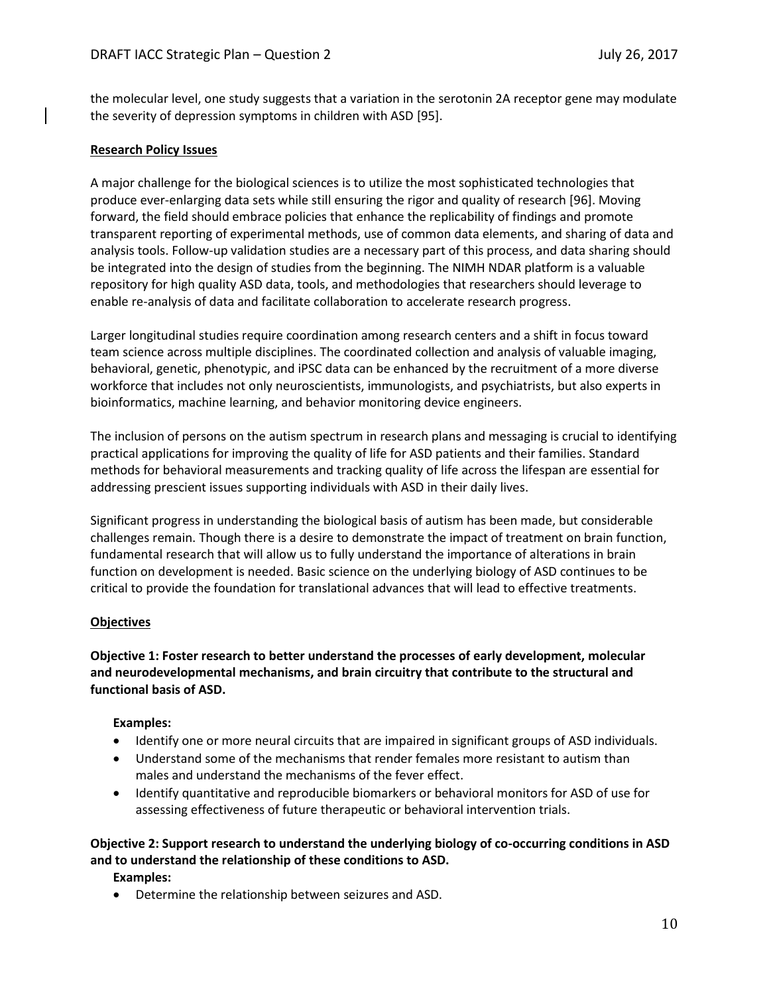the molecular level, one study suggests that a variation in the serotonin 2A receptor gene may modulate the severity of depression symptoms in children with ASD [95].

### **Research Policy Issues**

A major challenge for the biological sciences is to utilize the most sophisticated technologies that produce ever-enlarging data sets while still ensuring the rigor and quality of research [96]. Moving forward, the field should embrace policies that enhance the replicability of findings and promote transparent reporting of experimental methods, use of common data elements, and sharing of data and analysis tools. Follow-up validation studies are a necessary part of this process, and data sharing should be integrated into the design of studies from the beginning. The NIMH NDAR platform is a valuable repository for high quality ASD data, tools, and methodologies that researchers should leverage to enable re-analysis of data and facilitate collaboration to accelerate research progress.

Larger longitudinal studies require coordination among research centers and a shift in focus toward team science across multiple disciplines. The coordinated collection and analysis of valuable imaging, behavioral, genetic, phenotypic, and iPSC data can be enhanced by the recruitment of a more diverse workforce that includes not only neuroscientists, immunologists, and psychiatrists, but also experts in bioinformatics, machine learning, and behavior monitoring device engineers.

The inclusion of persons on the autism spectrum in research plans and messaging is crucial to identifying practical applications for improving the quality of life for ASD patients and their families. Standard methods for behavioral measurements and tracking quality of life across the lifespan are essential for addressing prescient issues supporting individuals with ASD in their daily lives.

Significant progress in understanding the biological basis of autism has been made, but considerable challenges remain. Though there is a desire to demonstrate the impact of treatment on brain function, fundamental research that will allow us to fully understand the importance of alterations in brain function on development is needed. Basic science on the underlying biology of ASD continues to be critical to provide the foundation for translational advances that will lead to effective treatments.

### **Objectives**

**Objective 1: Foster research to better understand the processes of early development, molecular and neurodevelopmental mechanisms, and brain circuitry that contribute to the structural and functional basis of ASD.**

### **Examples:**

- Identify one or more neural circuits that are impaired in significant groups of ASD individuals.
- Understand some of the mechanisms that render females more resistant to autism than males and understand the mechanisms of the fever effect.
- Identify quantitative and reproducible biomarkers or behavioral monitors for ASD of use for assessing effectiveness of future therapeutic or behavioral intervention trials.

# **Objective 2: Support research to understand the underlying biology of co-occurring conditions in ASD and to understand the relationship of these conditions to ASD.**

**Examples:**

• Determine the relationship between seizures and ASD.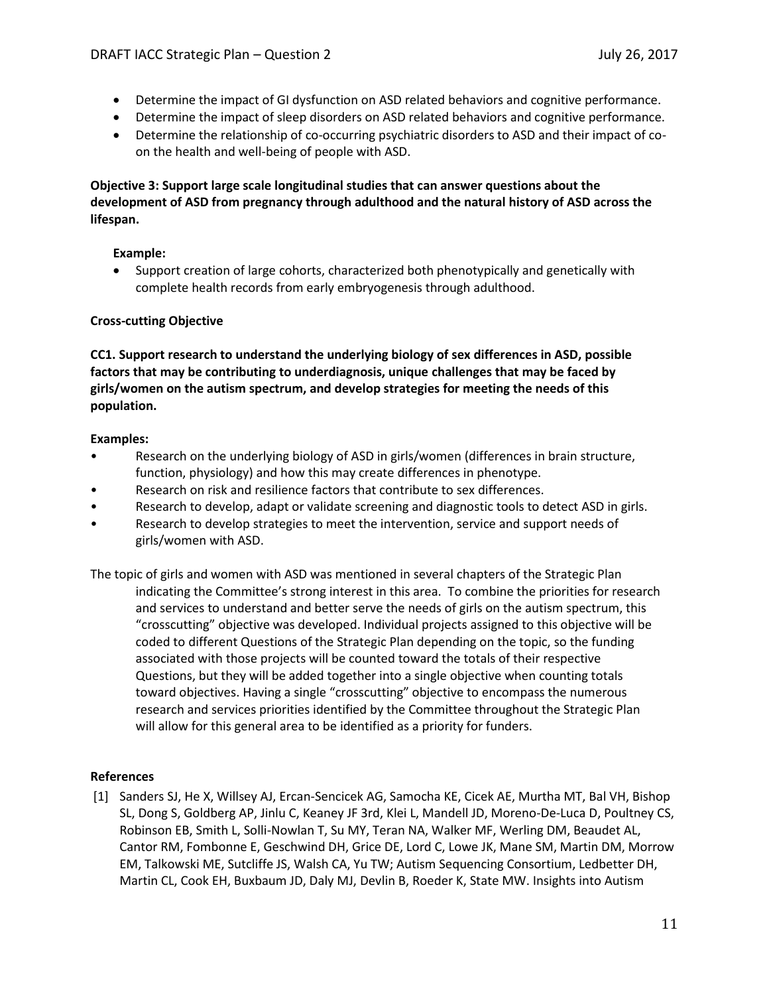- Determine the impact of GI dysfunction on ASD related behaviors and cognitive performance.
- Determine the impact of sleep disorders on ASD related behaviors and cognitive performance.
- Determine the relationship of co-occurring psychiatric disorders to ASD and their impact of coon the health and well-being of people with ASD.

# **Objective 3: Support large scale longitudinal studies that can answer questions about the development of ASD from pregnancy through adulthood and the natural history of ASD across the lifespan.**

# **Example:**

• Support creation of large cohorts, characterized both phenotypically and genetically with complete health records from early embryogenesis through adulthood.

# **Cross-cutting Objective**

**CC1. Support research to understand the underlying biology of sex differences in ASD, possible factors that may be contributing to underdiagnosis, unique challenges that may be faced by girls/women on the autism spectrum, and develop strategies for meeting the needs of this population.**

# **Examples:**

- Research on the underlying biology of ASD in girls/women (differences in brain structure, function, physiology) and how this may create differences in phenotype.
- Research on risk and resilience factors that contribute to sex differences.
- Research to develop, adapt or validate screening and diagnostic tools to detect ASD in girls.
- Research to develop strategies to meet the intervention, service and support needs of girls/women with ASD.

The topic of girls and women with ASD was mentioned in several chapters of the Strategic Plan indicating the Committee's strong interest in this area. To combine the priorities for research and services to understand and better serve the needs of girls on the autism spectrum, this "crosscutting" objective was developed. Individual projects assigned to this objective will be coded to different Questions of the Strategic Plan depending on the topic, so the funding associated with those projects will be counted toward the totals of their respective Questions, but they will be added together into a single objective when counting totals toward objectives. Having a single "crosscutting" objective to encompass the numerous research and services priorities identified by the Committee throughout the Strategic Plan will allow for this general area to be identified as a priority for funders.

# **References**

[1] Sanders SJ, He X, Willsey AJ, Ercan-Sencicek AG, Samocha KE, Cicek AE, Murtha MT, Bal VH, Bishop SL, Dong S, Goldberg AP, Jinlu C, Keaney JF 3rd, Klei L, Mandell JD, Moreno-De-Luca D, Poultney CS, Robinson EB, Smith L, Solli-Nowlan T, Su MY, Teran NA, Walker MF, Werling DM, Beaudet AL, Cantor RM, Fombonne E, Geschwind DH, Grice DE, Lord C, Lowe JK, Mane SM, Martin DM, Morrow EM, Talkowski ME, Sutcliffe JS, Walsh CA, Yu TW; Autism Sequencing Consortium, Ledbetter DH, Martin CL, Cook EH, Buxbaum JD, Daly MJ, Devlin B, Roeder K, State MW. Insights into Autism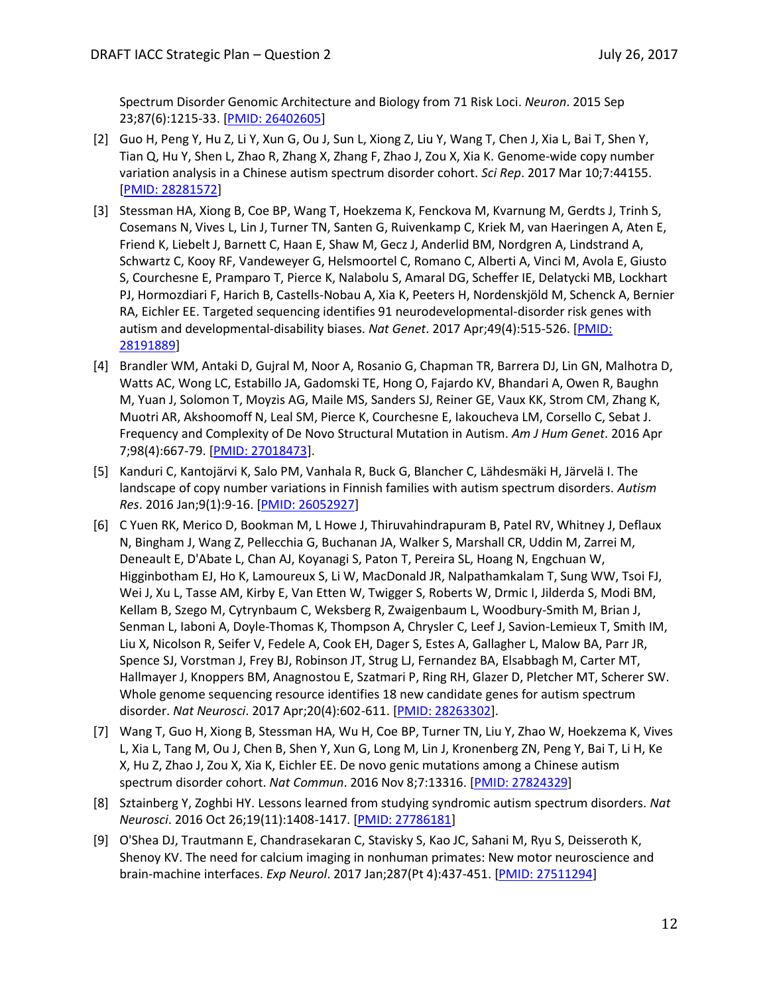Spectrum Disorder Genomic Architecture and Biology from 71 Risk Loci. *Neuron*. 2015 Sep 23;87(6):1215-33. [\[PMID: 26402605\]](https://www.ncbi.nlm.nih.gov/pubmed/26402605)

- [2] Guo H, Peng Y, Hu Z, Li Y, Xun G, Ou J, Sun L, Xiong Z, Liu Y, Wang T, Chen J, Xia L, Bai T, Shen Y, Tian Q, Hu Y, Shen L, Zhao R, Zhang X, Zhang F, Zhao J, Zou X, Xia K. Genome-wide copy number variation analysis in a Chinese autism spectrum disorder cohort. *Sci Rep*. 2017 Mar 10;7:44155. [\[PMID: 28281572\]](https://www.ncbi.nlm.nih.gov/pubmed/28281572)
- [3] Stessman HA, Xiong B, Coe BP, Wang T, Hoekzema K, Fenckova M, Kvarnung M, Gerdts J, Trinh S, Cosemans N, Vives L, Lin J, Turner TN, Santen G, Ruivenkamp C, Kriek M, van Haeringen A, Aten E, Friend K, Liebelt J, Barnett C, Haan E, Shaw M, Gecz J, Anderlid BM, Nordgren A, Lindstrand A, Schwartz C, Kooy RF, Vandeweyer G, Helsmoortel C, Romano C, Alberti A, Vinci M, Avola E, Giusto S, Courchesne E, Pramparo T, Pierce K, Nalabolu S, Amaral DG, Scheffer IE, Delatycki MB, Lockhart PJ, Hormozdiari F, Harich B, Castells-Nobau A, Xia K, Peeters H, Nordenskjöld M, Schenck A, Bernier RA, Eichler EE. Targeted sequencing identifies 91 neurodevelopmental-disorder risk genes with autism and developmental-disability biases. *Nat Genet*. 2017 Apr;49(4):515-526. [\[PMID:](https://www.ncbi.nlm.nih.gov/pubmed/28191889)  [28191889\]](https://www.ncbi.nlm.nih.gov/pubmed/28191889)
- [4] Brandler WM, Antaki D, Gujral M, Noor A, Rosanio G, Chapman TR, Barrera DJ, Lin GN, Malhotra D, Watts AC, Wong LC, Estabillo JA, Gadomski TE, Hong O, Fajardo KV, Bhandari A, Owen R, Baughn M, Yuan J, Solomon T, Moyzis AG, Maile MS, Sanders SJ, Reiner GE, Vaux KK, Strom CM, Zhang K, Muotri AR, Akshoomoff N, Leal SM, Pierce K, Courchesne E, Iakoucheva LM, Corsello C, Sebat J. Frequency and Complexity of De Novo Structural Mutation in Autism. *Am J Hum Genet*. 2016 Apr 7;98(4):667-79. [\[PMID: 27018473\]](https://www.ncbi.nlm.nih.gov/pubmed/27018473).
- [5] Kanduri C, Kantojärvi K, Salo PM, Vanhala R, Buck G, Blancher C, Lähdesmäki H, Järvelä I. The landscape of copy number variations in Finnish families with autism spectrum disorders. *Autism Res*. 2016 Jan;9(1):9-16. [\[PMID: 26052927\]](https://www.ncbi.nlm.nih.gov/pubmed/26052927)
- [6] C Yuen RK, Merico D, Bookman M, L Howe J, Thiruvahindrapuram B, Patel RV, Whitney J, Deflaux N, Bingham J, Wang Z, Pellecchia G, Buchanan JA, Walker S, Marshall CR, Uddin M, Zarrei M, Deneault E, D'Abate L, Chan AJ, Koyanagi S, Paton T, Pereira SL, Hoang N, Engchuan W, Higginbotham EJ, Ho K, Lamoureux S, Li W, MacDonald JR, Nalpathamkalam T, Sung WW, Tsoi FJ, Wei J, Xu L, Tasse AM, Kirby E, Van Etten W, Twigger S, Roberts W, Drmic I, Jilderda S, Modi BM, Kellam B, Szego M, Cytrynbaum C, Weksberg R, Zwaigenbaum L, Woodbury-Smith M, Brian J, Senman L, Iaboni A, Doyle-Thomas K, Thompson A, Chrysler C, Leef J, Savion-Lemieux T, Smith IM, Liu X, Nicolson R, Seifer V, Fedele A, Cook EH, Dager S, Estes A, Gallagher L, Malow BA, Parr JR, Spence SJ, Vorstman J, Frey BJ, Robinson JT, Strug LJ, Fernandez BA, Elsabbagh M, Carter MT, Hallmayer J, Knoppers BM, Anagnostou E, Szatmari P, Ring RH, Glazer D, Pletcher MT, Scherer SW. Whole genome sequencing resource identifies 18 new candidate genes for autism spectrum disorder. *Nat Neurosci*. 2017 Apr;20(4):602-611. [\[PMID: 28263302\]](https://www.ncbi.nlm.nih.gov/pubmed/28263302).
- [7] Wang T, Guo H, Xiong B, Stessman HA, Wu H, Coe BP, Turner TN, Liu Y, Zhao W, Hoekzema K, Vives L, Xia L, Tang M, Ou J, Chen B, Shen Y, Xun G, Long M, Lin J, Kronenberg ZN, Peng Y, Bai T, Li H, Ke X, Hu Z, Zhao J, Zou X, Xia K, Eichler EE. De novo genic mutations among a Chinese autism spectrum disorder cohort. *Nat Commun*. 2016 Nov 8;7:13316. [\[PMID: 27824329\]](https://www.ncbi.nlm.nih.gov/pubmed/27824329)
- [8] Sztainberg Y, Zoghbi HY. Lessons learned from studying syndromic autism spectrum disorders. *Nat Neurosci*. 2016 Oct 26;19(11):1408-1417. [\[PMID: 27786181\]](https://www.ncbi.nlm.nih.gov/pubmed/27786181)
- [9] O'Shea DJ, Trautmann E, Chandrasekaran C, Stavisky S, Kao JC, Sahani M, Ryu S, Deisseroth K, Shenoy KV. The need for calcium imaging in nonhuman primates: New motor neuroscience and brain-machine interfaces. *Exp Neurol*. 2017 Jan;287(Pt 4):437-451. [PMID: [27511294\]](https://www.ncbi.nlm.nih.gov/pubmed/27511294)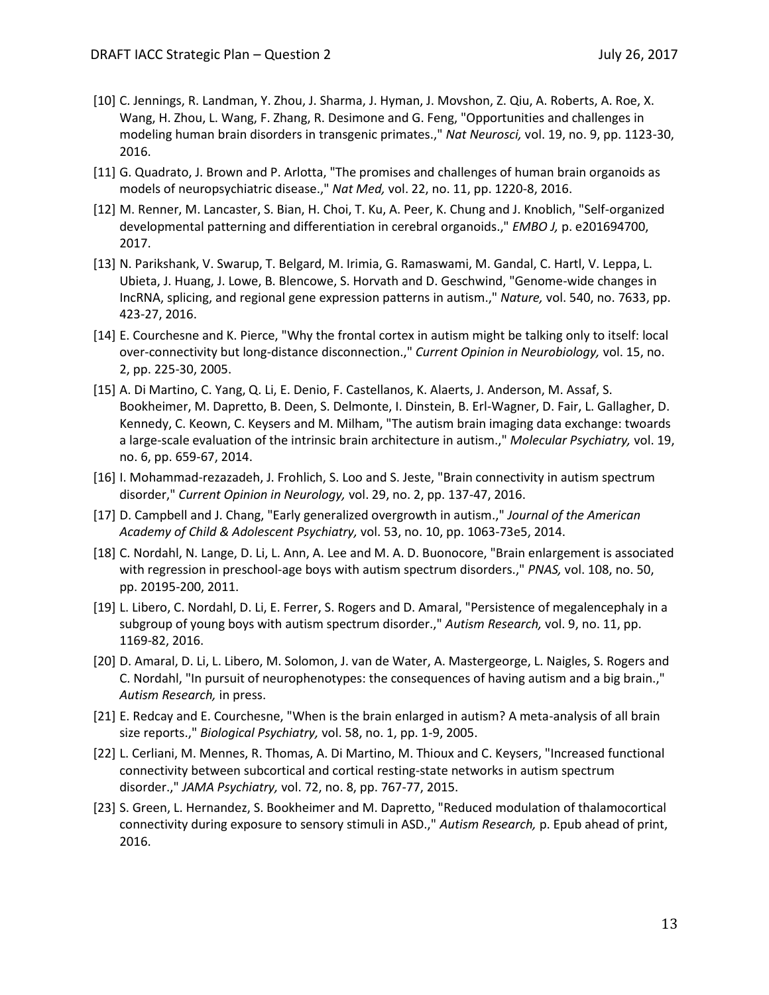- [10] C. Jennings, R. Landman, Y. Zhou, J. Sharma, J. Hyman, J. Movshon, Z. Qiu, A. Roberts, A. Roe, X. Wang, H. Zhou, L. Wang, F. Zhang, R. Desimone and G. Feng, "Opportunities and challenges in modeling human brain disorders in transgenic primates.," *Nat Neurosci,* vol. 19, no. 9, pp. 1123-30, 2016.
- [11] G. Quadrato, J. Brown and P. Arlotta, "The promises and challenges of human brain organoids as models of neuropsychiatric disease.," *Nat Med,* vol. 22, no. 11, pp. 1220-8, 2016.
- [12] M. Renner, M. Lancaster, S. Bian, H. Choi, T. Ku, A. Peer, K. Chung and J. Knoblich, "Self-organized developmental patterning and differentiation in cerebral organoids.," *EMBO J,* p. e201694700, 2017.
- [13] N. Parikshank, V. Swarup, T. Belgard, M. Irimia, G. Ramaswami, M. Gandal, C. Hartl, V. Leppa, L. Ubieta, J. Huang, J. Lowe, B. Blencowe, S. Horvath and D. Geschwind, "Genome-wide changes in IncRNA, splicing, and regional gene expression patterns in autism.," *Nature,* vol. 540, no. 7633, pp. 423-27, 2016.
- [14] E. Courchesne and K. Pierce, "Why the frontal cortex in autism might be talking only to itself: local over-connectivity but long-distance disconnection.," *Current Opinion in Neurobiology,* vol. 15, no. 2, pp. 225-30, 2005.
- [15] A. Di Martino, C. Yang, Q. Li, E. Denio, F. Castellanos, K. Alaerts, J. Anderson, M. Assaf, S. Bookheimer, M. Dapretto, B. Deen, S. Delmonte, I. Dinstein, B. Erl-Wagner, D. Fair, L. Gallagher, D. Kennedy, C. Keown, C. Keysers and M. Milham, "The autism brain imaging data exchange: twoards a large-scale evaluation of the intrinsic brain architecture in autism.," *Molecular Psychiatry,* vol. 19, no. 6, pp. 659-67, 2014.
- [16] I. Mohammad-rezazadeh, J. Frohlich, S. Loo and S. Jeste, "Brain connectivity in autism spectrum disorder," *Current Opinion in Neurology,* vol. 29, no. 2, pp. 137-47, 2016.
- [17] D. Campbell and J. Chang, "Early generalized overgrowth in autism.," *Journal of the American Academy of Child & Adolescent Psychiatry,* vol. 53, no. 10, pp. 1063-73e5, 2014.
- [18] C. Nordahl, N. Lange, D. Li, L. Ann, A. Lee and M. A. D. Buonocore, "Brain enlargement is associated with regression in preschool-age boys with autism spectrum disorders.," *PNAS,* vol. 108, no. 50, pp. 20195-200, 2011.
- [19] L. Libero, C. Nordahl, D. Li, E. Ferrer, S. Rogers and D. Amaral, "Persistence of megalencephaly in a subgroup of young boys with autism spectrum disorder.," *Autism Research,* vol. 9, no. 11, pp. 1169-82, 2016.
- [20] D. Amaral, D. Li, L. Libero, M. Solomon, J. van de Water, A. Mastergeorge, L. Naigles, S. Rogers and C. Nordahl, "In pursuit of neurophenotypes: the consequences of having autism and a big brain.," *Autism Research,* in press.
- [21] E. Redcay and E. Courchesne, "When is the brain enlarged in autism? A meta-analysis of all brain size reports.," *Biological Psychiatry,* vol. 58, no. 1, pp. 1-9, 2005.
- [22] L. Cerliani, M. Mennes, R. Thomas, A. Di Martino, M. Thioux and C. Keysers, "Increased functional connectivity between subcortical and cortical resting-state networks in autism spectrum disorder.," *JAMA Psychiatry,* vol. 72, no. 8, pp. 767-77, 2015.
- [23] S. Green, L. Hernandez, S. Bookheimer and M. Dapretto, "Reduced modulation of thalamocortical connectivity during exposure to sensory stimuli in ASD.," *Autism Research,* p. Epub ahead of print, 2016.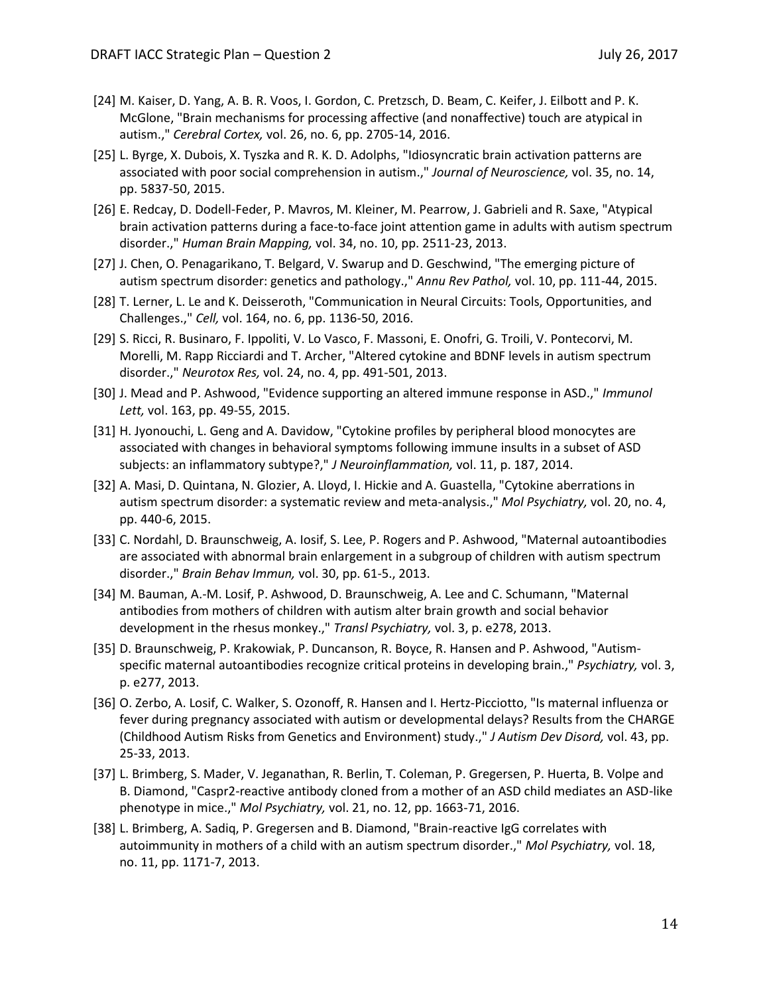- [24] M. Kaiser, D. Yang, A. B. R. Voos, I. Gordon, C. Pretzsch, D. Beam, C. Keifer, J. Eilbott and P. K. McGlone, "Brain mechanisms for processing affective (and nonaffective) touch are atypical in autism.," *Cerebral Cortex,* vol. 26, no. 6, pp. 2705-14, 2016.
- [25] L. Byrge, X. Dubois, X. Tyszka and R. K. D. Adolphs, "Idiosyncratic brain activation patterns are associated with poor social comprehension in autism.," *Journal of Neuroscience,* vol. 35, no. 14, pp. 5837-50, 2015.
- [26] E. Redcay, D. Dodell-Feder, P. Mavros, M. Kleiner, M. Pearrow, J. Gabrieli and R. Saxe, "Atypical brain activation patterns during a face-to-face joint attention game in adults with autism spectrum disorder.," *Human Brain Mapping,* vol. 34, no. 10, pp. 2511-23, 2013.
- [27] J. Chen, O. Penagarikano, T. Belgard, V. Swarup and D. Geschwind, "The emerging picture of autism spectrum disorder: genetics and pathology.," *Annu Rev Pathol,* vol. 10, pp. 111-44, 2015.
- [28] T. Lerner, L. Le and K. Deisseroth, "Communication in Neural Circuits: Tools, Opportunities, and Challenges.," *Cell,* vol. 164, no. 6, pp. 1136-50, 2016.
- [29] S. Ricci, R. Businaro, F. Ippoliti, V. Lo Vasco, F. Massoni, E. Onofri, G. Troili, V. Pontecorvi, M. Morelli, M. Rapp Ricciardi and T. Archer, "Altered cytokine and BDNF levels in autism spectrum disorder.," *Neurotox Res,* vol. 24, no. 4, pp. 491-501, 2013.
- [30] J. Mead and P. Ashwood, "Evidence supporting an altered immune response in ASD.," *Immunol Lett,* vol. 163, pp. 49-55, 2015.
- [31] H. Jyonouchi, L. Geng and A. Davidow, "Cytokine profiles by peripheral blood monocytes are associated with changes in behavioral symptoms following immune insults in a subset of ASD subjects: an inflammatory subtype?," *J Neuroinflammation,* vol. 11, p. 187, 2014.
- [32] A. Masi, D. Quintana, N. Glozier, A. Lloyd, I. Hickie and A. Guastella, "Cytokine aberrations in autism spectrum disorder: a systematic review and meta-analysis.," *Mol Psychiatry,* vol. 20, no. 4, pp. 440-6, 2015.
- [33] C. Nordahl, D. Braunschweig, A. Iosif, S. Lee, P. Rogers and P. Ashwood, "Maternal autoantibodies are associated with abnormal brain enlargement in a subgroup of children with autism spectrum disorder.," *Brain Behav Immun,* vol. 30, pp. 61-5., 2013.
- [34] M. Bauman, A.-M. Losif, P. Ashwood, D. Braunschweig, A. Lee and C. Schumann, "Maternal antibodies from mothers of children with autism alter brain growth and social behavior development in the rhesus monkey.," *Transl Psychiatry,* vol. 3, p. e278, 2013.
- [35] D. Braunschweig, P. Krakowiak, P. Duncanson, R. Boyce, R. Hansen and P. Ashwood, "Autismspecific maternal autoantibodies recognize critical proteins in developing brain.," *Psychiatry,* vol. 3, p. e277, 2013.
- [36] O. Zerbo, A. Losif, C. Walker, S. Ozonoff, R. Hansen and I. Hertz-Picciotto, "Is maternal influenza or fever during pregnancy associated with autism or developmental delays? Results from the CHARGE (Childhood Autism Risks from Genetics and Environment) study.," *J Autism Dev Disord,* vol. 43, pp. 25-33, 2013.
- [37] L. Brimberg, S. Mader, V. Jeganathan, R. Berlin, T. Coleman, P. Gregersen, P. Huerta, B. Volpe and B. Diamond, "Caspr2-reactive antibody cloned from a mother of an ASD child mediates an ASD-like phenotype in mice.," *Mol Psychiatry,* vol. 21, no. 12, pp. 1663-71, 2016.
- [38] L. Brimberg, A. Sadiq, P. Gregersen and B. Diamond, "Brain-reactive IgG correlates with autoimmunity in mothers of a child with an autism spectrum disorder.," *Mol Psychiatry,* vol. 18, no. 11, pp. 1171-7, 2013.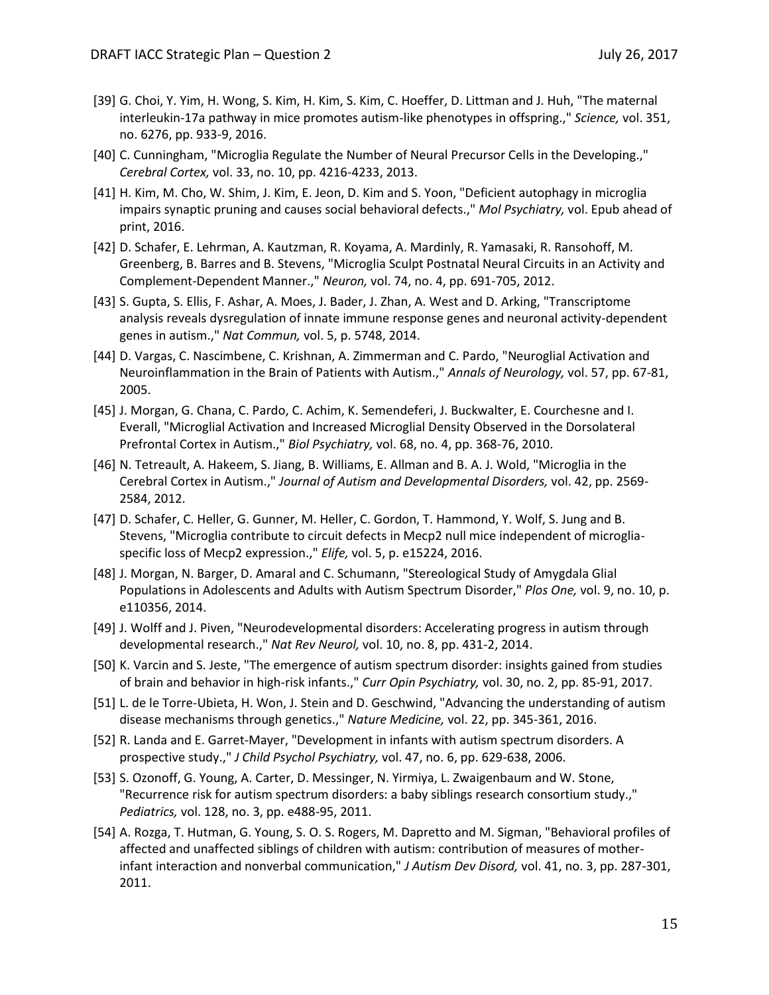- [39] G. Choi, Y. Yim, H. Wong, S. Kim, H. Kim, S. Kim, C. Hoeffer, D. Littman and J. Huh, "The maternal interleukin-17a pathway in mice promotes autism-like phenotypes in offspring.," *Science,* vol. 351, no. 6276, pp. 933-9, 2016.
- [40] C. Cunningham, "Microglia Regulate the Number of Neural Precursor Cells in the Developing.," *Cerebral Cortex,* vol. 33, no. 10, pp. 4216-4233, 2013.
- [41] H. Kim, M. Cho, W. Shim, J. Kim, E. Jeon, D. Kim and S. Yoon, "Deficient autophagy in microglia impairs synaptic pruning and causes social behavioral defects.," *Mol Psychiatry,* vol. Epub ahead of print, 2016.
- [42] D. Schafer, E. Lehrman, A. Kautzman, R. Koyama, A. Mardinly, R. Yamasaki, R. Ransohoff, M. Greenberg, B. Barres and B. Stevens, "Microglia Sculpt Postnatal Neural Circuits in an Activity and Complement-Dependent Manner.," *Neuron,* vol. 74, no. 4, pp. 691-705, 2012.
- [43] S. Gupta, S. Ellis, F. Ashar, A. Moes, J. Bader, J. Zhan, A. West and D. Arking, "Transcriptome analysis reveals dysregulation of innate immune response genes and neuronal activity-dependent genes in autism.," *Nat Commun,* vol. 5, p. 5748, 2014.
- [44] D. Vargas, C. Nascimbene, C. Krishnan, A. Zimmerman and C. Pardo, "Neuroglial Activation and Neuroinflammation in the Brain of Patients with Autism.," *Annals of Neurology,* vol. 57, pp. 67-81, 2005.
- [45] J. Morgan, G. Chana, C. Pardo, C. Achim, K. Semendeferi, J. Buckwalter, E. Courchesne and I. Everall, "Microglial Activation and Increased Microglial Density Observed in the Dorsolateral Prefrontal Cortex in Autism.," *Biol Psychiatry,* vol. 68, no. 4, pp. 368-76, 2010.
- [46] N. Tetreault, A. Hakeem, S. Jiang, B. Williams, E. Allman and B. A. J. Wold, "Microglia in the Cerebral Cortex in Autism.," *Journal of Autism and Developmental Disorders,* vol. 42, pp. 2569- 2584, 2012.
- [47] D. Schafer, C. Heller, G. Gunner, M. Heller, C. Gordon, T. Hammond, Y. Wolf, S. Jung and B. Stevens, "Microglia contribute to circuit defects in Mecp2 null mice independent of microgliaspecific loss of Mecp2 expression.," *Elife,* vol. 5, p. e15224, 2016.
- [48] J. Morgan, N. Barger, D. Amaral and C. Schumann, "Stereological Study of Amygdala Glial Populations in Adolescents and Adults with Autism Spectrum Disorder," *Plos One,* vol. 9, no. 10, p. e110356, 2014.
- [49] J. Wolff and J. Piven, "Neurodevelopmental disorders: Accelerating progress in autism through developmental research.," *Nat Rev Neurol,* vol. 10, no. 8, pp. 431-2, 2014.
- [50] K. Varcin and S. Jeste, "The emergence of autism spectrum disorder: insights gained from studies of brain and behavior in high-risk infants.," *Curr Opin Psychiatry,* vol. 30, no. 2, pp. 85-91, 2017.
- [51] L. de le Torre-Ubieta, H. Won, J. Stein and D. Geschwind, "Advancing the understanding of autism disease mechanisms through genetics.," *Nature Medicine,* vol. 22, pp. 345-361, 2016.
- [52] R. Landa and E. Garret-Mayer, "Development in infants with autism spectrum disorders. A prospective study.," *J Child Psychol Psychiatry,* vol. 47, no. 6, pp. 629-638, 2006.
- [53] S. Ozonoff, G. Young, A. Carter, D. Messinger, N. Yirmiya, L. Zwaigenbaum and W. Stone, "Recurrence risk for autism spectrum disorders: a baby siblings research consortium study.," *Pediatrics,* vol. 128, no. 3, pp. e488-95, 2011.
- [54] A. Rozga, T. Hutman, G. Young, S. O. S. Rogers, M. Dapretto and M. Sigman, "Behavioral profiles of affected and unaffected siblings of children with autism: contribution of measures of motherinfant interaction and nonverbal communication," *J Autism Dev Disord,* vol. 41, no. 3, pp. 287-301, 2011.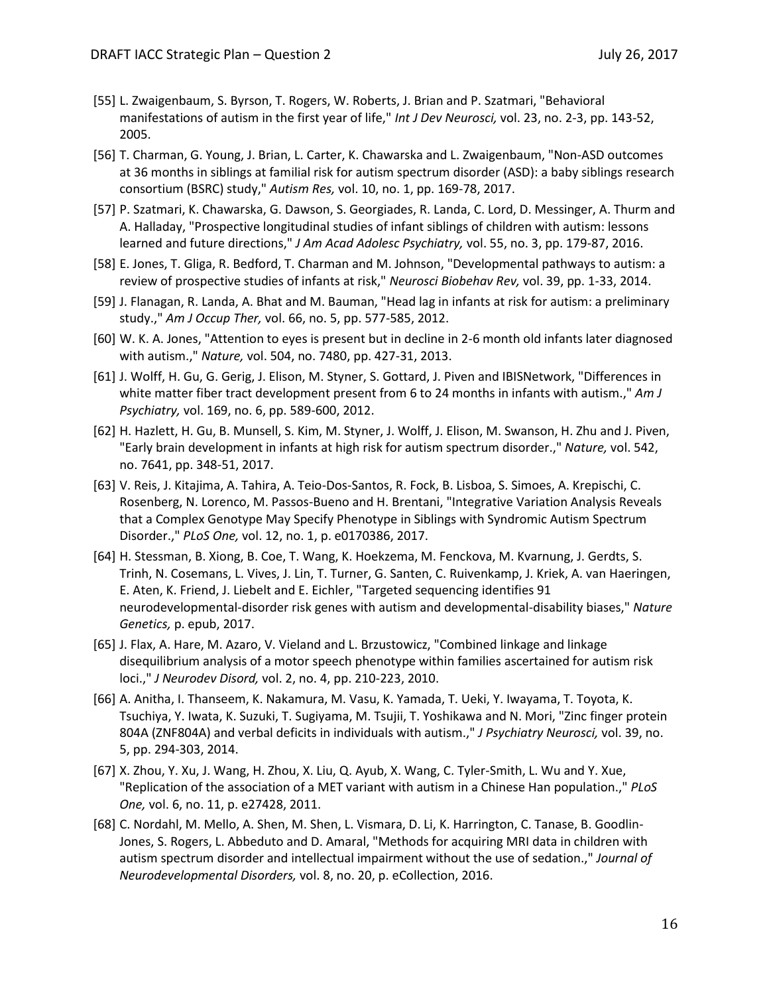- [55] L. Zwaigenbaum, S. Byrson, T. Rogers, W. Roberts, J. Brian and P. Szatmari, "Behavioral manifestations of autism in the first year of life," *Int J Dev Neurosci,* vol. 23, no. 2-3, pp. 143-52, 2005.
- [56] T. Charman, G. Young, J. Brian, L. Carter, K. Chawarska and L. Zwaigenbaum, "Non-ASD outcomes at 36 months in siblings at familial risk for autism spectrum disorder (ASD): a baby siblings research consortium (BSRC) study," *Autism Res,* vol. 10, no. 1, pp. 169-78, 2017.
- [57] P. Szatmari, K. Chawarska, G. Dawson, S. Georgiades, R. Landa, C. Lord, D. Messinger, A. Thurm and A. Halladay, "Prospective longitudinal studies of infant siblings of children with autism: lessons learned and future directions," *J Am Acad Adolesc Psychiatry,* vol. 55, no. 3, pp. 179-87, 2016.
- [58] E. Jones, T. Gliga, R. Bedford, T. Charman and M. Johnson, "Developmental pathways to autism: a review of prospective studies of infants at risk," *Neurosci Biobehav Rev,* vol. 39, pp. 1-33, 2014.
- [59] J. Flanagan, R. Landa, A. Bhat and M. Bauman, "Head lag in infants at risk for autism: a preliminary study.," *Am J Occup Ther,* vol. 66, no. 5, pp. 577-585, 2012.
- [60] W. K. A. Jones, "Attention to eyes is present but in decline in 2-6 month old infants later diagnosed with autism.," *Nature,* vol. 504, no. 7480, pp. 427-31, 2013.
- [61] J. Wolff, H. Gu, G. Gerig, J. Elison, M. Styner, S. Gottard, J. Piven and IBISNetwork, "Differences in white matter fiber tract development present from 6 to 24 months in infants with autism.," *Am J Psychiatry,* vol. 169, no. 6, pp. 589-600, 2012.
- [62] H. Hazlett, H. Gu, B. Munsell, S. Kim, M. Styner, J. Wolff, J. Elison, M. Swanson, H. Zhu and J. Piven, "Early brain development in infants at high risk for autism spectrum disorder.," *Nature,* vol. 542, no. 7641, pp. 348-51, 2017.
- [63] V. Reis, J. Kitajima, A. Tahira, A. Teio-Dos-Santos, R. Fock, B. Lisboa, S. Simoes, A. Krepischi, C. Rosenberg, N. Lorenco, M. Passos-Bueno and H. Brentani, "Integrative Variation Analysis Reveals that a Complex Genotype May Specify Phenotype in Siblings with Syndromic Autism Spectrum Disorder.," *PLoS One,* vol. 12, no. 1, p. e0170386, 2017.
- [64] H. Stessman, B. Xiong, B. Coe, T. Wang, K. Hoekzema, M. Fenckova, M. Kvarnung, J. Gerdts, S. Trinh, N. Cosemans, L. Vives, J. Lin, T. Turner, G. Santen, C. Ruivenkamp, J. Kriek, A. van Haeringen, E. Aten, K. Friend, J. Liebelt and E. Eichler, "Targeted sequencing identifies 91 neurodevelopmental-disorder risk genes with autism and developmental-disability biases," *Nature Genetics,* p. epub, 2017.
- [65] J. Flax, A. Hare, M. Azaro, V. Vieland and L. Brzustowicz, "Combined linkage and linkage disequilibrium analysis of a motor speech phenotype within families ascertained for autism risk loci.," *J Neurodev Disord,* vol. 2, no. 4, pp. 210-223, 2010.
- [66] A. Anitha, I. Thanseem, K. Nakamura, M. Vasu, K. Yamada, T. Ueki, Y. Iwayama, T. Toyota, K. Tsuchiya, Y. Iwata, K. Suzuki, T. Sugiyama, M. Tsujii, T. Yoshikawa and N. Mori, "Zinc finger protein 804A (ZNF804A) and verbal deficits in individuals with autism.," *J Psychiatry Neurosci,* vol. 39, no. 5, pp. 294-303, 2014.
- [67] X. Zhou, Y. Xu, J. Wang, H. Zhou, X. Liu, Q. Ayub, X. Wang, C. Tyler-Smith, L. Wu and Y. Xue, "Replication of the association of a MET variant with autism in a Chinese Han population.," *PLoS One,* vol. 6, no. 11, p. e27428, 2011.
- [68] C. Nordahl, M. Mello, A. Shen, M. Shen, L. Vismara, D. Li, K. Harrington, C. Tanase, B. Goodlin-Jones, S. Rogers, L. Abbeduto and D. Amaral, "Methods for acquiring MRI data in children with autism spectrum disorder and intellectual impairment without the use of sedation.," *Journal of Neurodevelopmental Disorders,* vol. 8, no. 20, p. eCollection, 2016.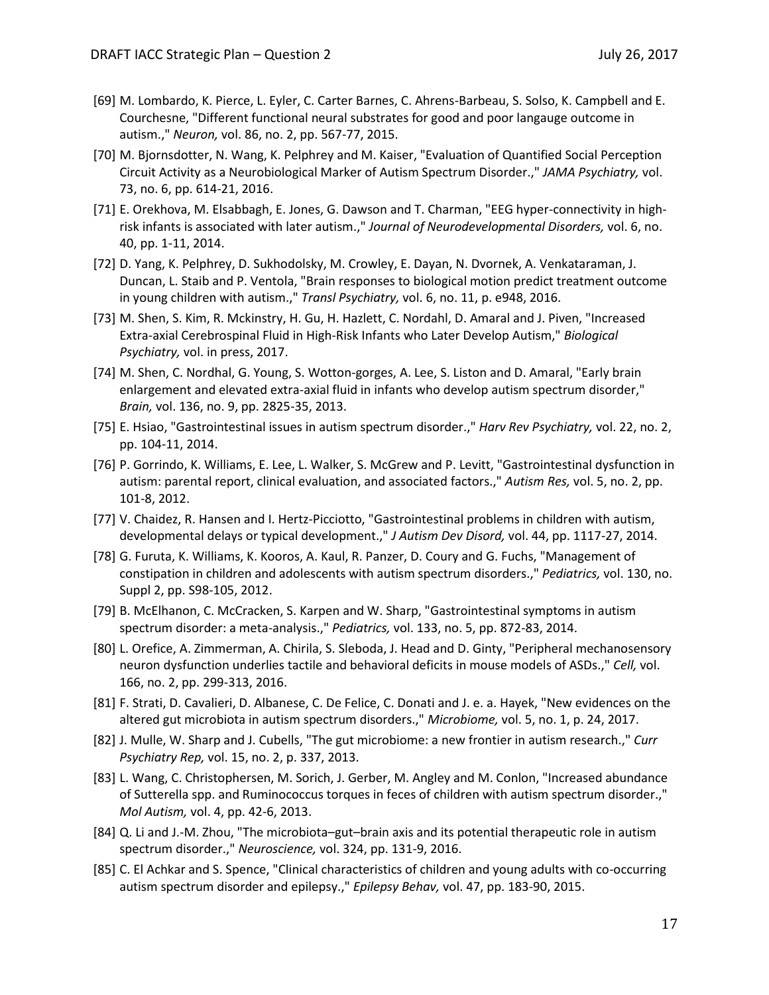- [69] M. Lombardo, K. Pierce, L. Eyler, C. Carter Barnes, C. Ahrens-Barbeau, S. Solso, K. Campbell and E. Courchesne, "Different functional neural substrates for good and poor langauge outcome in autism.," *Neuron,* vol. 86, no. 2, pp. 567-77, 2015.
- [70] M. Bjornsdotter, N. Wang, K. Pelphrey and M. Kaiser, "Evaluation of Quantified Social Perception Circuit Activity as a Neurobiological Marker of Autism Spectrum Disorder.," *JAMA Psychiatry,* vol. 73, no. 6, pp. 614-21, 2016.
- [71] E. Orekhova, M. Elsabbagh, E. Jones, G. Dawson and T. Charman, "EEG hyper-connectivity in highrisk infants is associated with later autism.," *Journal of Neurodevelopmental Disorders,* vol. 6, no. 40, pp. 1-11, 2014.
- [72] D. Yang, K. Pelphrey, D. Sukhodolsky, M. Crowley, E. Dayan, N. Dvornek, A. Venkataraman, J. Duncan, L. Staib and P. Ventola, "Brain responses to biological motion predict treatment outcome in young children with autism.," *Transl Psychiatry,* vol. 6, no. 11, p. e948, 2016.
- [73] M. Shen, S. Kim, R. Mckinstry, H. Gu, H. Hazlett, C. Nordahl, D. Amaral and J. Piven, "Increased Extra-axial Cerebrospinal Fluid in High-Risk Infants who Later Develop Autism," *Biological Psychiatry,* vol. in press, 2017.
- [74] M. Shen, C. Nordhal, G. Young, S. Wotton-gorges, A. Lee, S. Liston and D. Amaral, "Early brain enlargement and elevated extra-axial fluid in infants who develop autism spectrum disorder," *Brain,* vol. 136, no. 9, pp. 2825-35, 2013.
- [75] E. Hsiao, "Gastrointestinal issues in autism spectrum disorder.," *Harv Rev Psychiatry,* vol. 22, no. 2, pp. 104-11, 2014.
- [76] P. Gorrindo, K. Williams, E. Lee, L. Walker, S. McGrew and P. Levitt, "Gastrointestinal dysfunction in autism: parental report, clinical evaluation, and associated factors.," *Autism Res,* vol. 5, no. 2, pp. 101-8, 2012.
- [77] V. Chaidez, R. Hansen and I. Hertz-Picciotto, "Gastrointestinal problems in children with autism, developmental delays or typical development.," *J Autism Dev Disord,* vol. 44, pp. 1117-27, 2014.
- [78] G. Furuta, K. Williams, K. Kooros, A. Kaul, R. Panzer, D. Coury and G. Fuchs, "Management of constipation in children and adolescents with autism spectrum disorders.," *Pediatrics,* vol. 130, no. Suppl 2, pp. S98-105, 2012.
- [79] B. McElhanon, C. McCracken, S. Karpen and W. Sharp, "Gastrointestinal symptoms in autism spectrum disorder: a meta-analysis.," *Pediatrics,* vol. 133, no. 5, pp. 872-83, 2014.
- [80] L. Orefice, A. Zimmerman, A. Chirila, S. Sleboda, J. Head and D. Ginty, "Peripheral mechanosensory neuron dysfunction underlies tactile and behavioral deficits in mouse models of ASDs.," *Cell,* vol. 166, no. 2, pp. 299-313, 2016.
- [81] F. Strati, D. Cavalieri, D. Albanese, C. De Felice, C. Donati and J. e. a. Hayek, "New evidences on the altered gut microbiota in autism spectrum disorders.," *Microbiome,* vol. 5, no. 1, p. 24, 2017.
- [82] J. Mulle, W. Sharp and J. Cubells, "The gut microbiome: a new frontier in autism research.," *Curr Psychiatry Rep,* vol. 15, no. 2, p. 337, 2013.
- [83] L. Wang, C. Christophersen, M. Sorich, J. Gerber, M. Angley and M. Conlon, "Increased abundance of Sutterella spp. and Ruminococcus torques in feces of children with autism spectrum disorder.," *Mol Autism,* vol. 4, pp. 42-6, 2013.
- [84] Q. Li and J.-M. Zhou, "The microbiota–gut–brain axis and its potential therapeutic role in autism spectrum disorder.," *Neuroscience,* vol. 324, pp. 131-9, 2016.
- [85] C. El Achkar and S. Spence, "Clinical characteristics of children and young adults with co-occurring autism spectrum disorder and epilepsy.," *Epilepsy Behav,* vol. 47, pp. 183-90, 2015.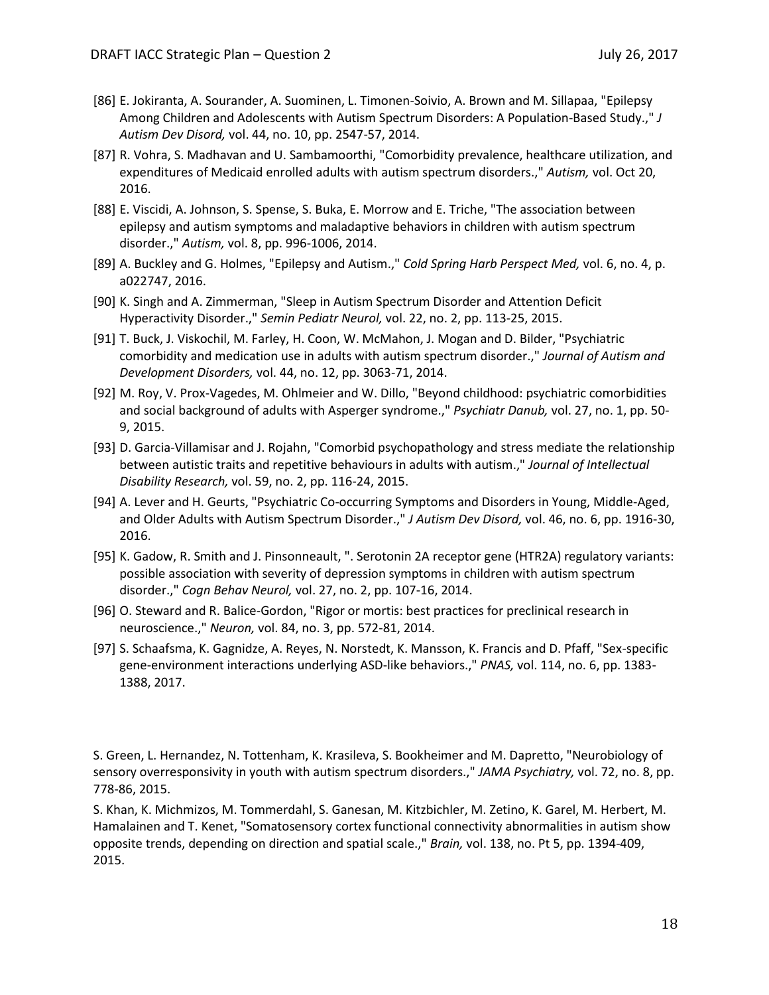- [86] E. Jokiranta, A. Sourander, A. Suominen, L. Timonen-Soivio, A. Brown and M. Sillapaa, "Epilepsy Among Children and Adolescents with Autism Spectrum Disorders: A Population-Based Study.," *J Autism Dev Disord,* vol. 44, no. 10, pp. 2547-57, 2014.
- [87] R. Vohra, S. Madhavan and U. Sambamoorthi, "Comorbidity prevalence, healthcare utilization, and expenditures of Medicaid enrolled adults with autism spectrum disorders.," *Autism,* vol. Oct 20, 2016.
- [88] E. Viscidi, A. Johnson, S. Spense, S. Buka, E. Morrow and E. Triche, "The association between epilepsy and autism symptoms and maladaptive behaviors in children with autism spectrum disorder.," *Autism,* vol. 8, pp. 996-1006, 2014.
- [89] A. Buckley and G. Holmes, "Epilepsy and Autism.," *Cold Spring Harb Perspect Med,* vol. 6, no. 4, p. a022747, 2016.
- [90] K. Singh and A. Zimmerman, "Sleep in Autism Spectrum Disorder and Attention Deficit Hyperactivity Disorder.," *Semin Pediatr Neurol,* vol. 22, no. 2, pp. 113-25, 2015.
- [91] T. Buck, J. Viskochil, M. Farley, H. Coon, W. McMahon, J. Mogan and D. Bilder, "Psychiatric comorbidity and medication use in adults with autism spectrum disorder.," *Journal of Autism and Development Disorders,* vol. 44, no. 12, pp. 3063-71, 2014.
- [92] M. Roy, V. Prox-Vagedes, M. Ohlmeier and W. Dillo, "Beyond childhood: psychiatric comorbidities and social background of adults with Asperger syndrome.," *Psychiatr Danub,* vol. 27, no. 1, pp. 50- 9, 2015.
- [93] D. Garcia-Villamisar and J. Rojahn, "Comorbid psychopathology and stress mediate the relationship between autistic traits and repetitive behaviours in adults with autism.," *Journal of Intellectual Disability Research,* vol. 59, no. 2, pp. 116-24, 2015.
- [94] A. Lever and H. Geurts, "Psychiatric Co-occurring Symptoms and Disorders in Young, Middle-Aged, and Older Adults with Autism Spectrum Disorder.," *J Autism Dev Disord,* vol. 46, no. 6, pp. 1916-30, 2016.
- [95] K. Gadow, R. Smith and J. Pinsonneault, ". Serotonin 2A receptor gene (HTR2A) regulatory variants: possible association with severity of depression symptoms in children with autism spectrum disorder.," *Cogn Behav Neurol,* vol. 27, no. 2, pp. 107-16, 2014.
- [96] O. Steward and R. Balice-Gordon, "Rigor or mortis: best practices for preclinical research in neuroscience.," *Neuron,* vol. 84, no. 3, pp. 572-81, 2014.
- [97] S. Schaafsma, K. Gagnidze, A. Reyes, N. Norstedt, K. Mansson, K. Francis and D. Pfaff, "Sex-specific gene-environment interactions underlying ASD-like behaviors.," *PNAS,* vol. 114, no. 6, pp. 1383- 1388, 2017.

S. Green, L. Hernandez, N. Tottenham, K. Krasileva, S. Bookheimer and M. Dapretto, "Neurobiology of sensory overresponsivity in youth with autism spectrum disorders.," *JAMA Psychiatry,* vol. 72, no. 8, pp. 778-86, 2015.

S. Khan, K. Michmizos, M. Tommerdahl, S. Ganesan, M. Kitzbichler, M. Zetino, K. Garel, M. Herbert, M. Hamalainen and T. Kenet, "Somatosensory cortex functional connectivity abnormalities in autism show opposite trends, depending on direction and spatial scale.," *Brain,* vol. 138, no. Pt 5, pp. 1394-409, 2015.